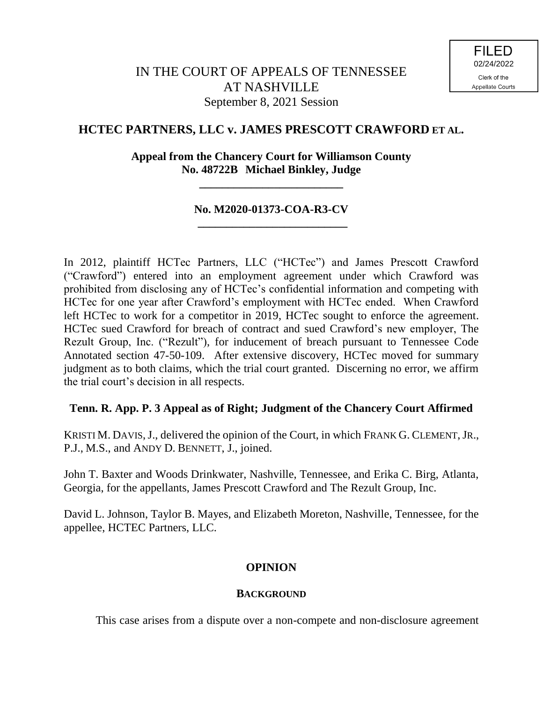## **HCTEC PARTNERS, LLC v. JAMES PRESCOTT CRAWFORD ET AL.**

## **Appeal from the Chancery Court for Williamson County No. 48722B Michael Binkley, Judge**

**\_\_\_\_\_\_\_\_\_\_\_\_\_\_\_\_\_\_\_\_\_\_\_\_\_**

## **No. M2020-01373-COA-R3-CV \_\_\_\_\_\_\_\_\_\_\_\_\_\_\_\_\_\_\_\_\_\_\_\_\_\_**

In 2012, plaintiff HCTec Partners, LLC ("HCTec") and James Prescott Crawford ("Crawford") entered into an employment agreement under which Crawford was prohibited from disclosing any of HCTec's confidential information and competing with HCTec for one year after Crawford's employment with HCTec ended. When Crawford left HCTec to work for a competitor in 2019, HCTec sought to enforce the agreement. HCTec sued Crawford for breach of contract and sued Crawford's new employer, The Rezult Group, Inc. ("Rezult"), for inducement of breach pursuant to Tennessee Code Annotated section 47-50-109. After extensive discovery, HCTec moved for summary judgment as to both claims, which the trial court granted. Discerning no error, we affirm the trial court's decision in all respects.

### **Tenn. R. App. P. 3 Appeal as of Right; Judgment of the Chancery Court Affirmed**

KRISTI M. DAVIS, J., delivered the opinion of the Court, in which FRANK G. CLEMENT, JR., P.J., M.S., and ANDY D. BENNETT, J., joined.

John T. Baxter and Woods Drinkwater, Nashville, Tennessee, and Erika C. Birg, Atlanta, Georgia, for the appellants, James Prescott Crawford and The Rezult Group, Inc.

David L. Johnson, Taylor B. Mayes, and Elizabeth Moreton, Nashville, Tennessee, for the appellee, HCTEC Partners, LLC.

## **OPINION**

### **BACKGROUND**

This case arises from a dispute over a non-compete and non-disclosure agreement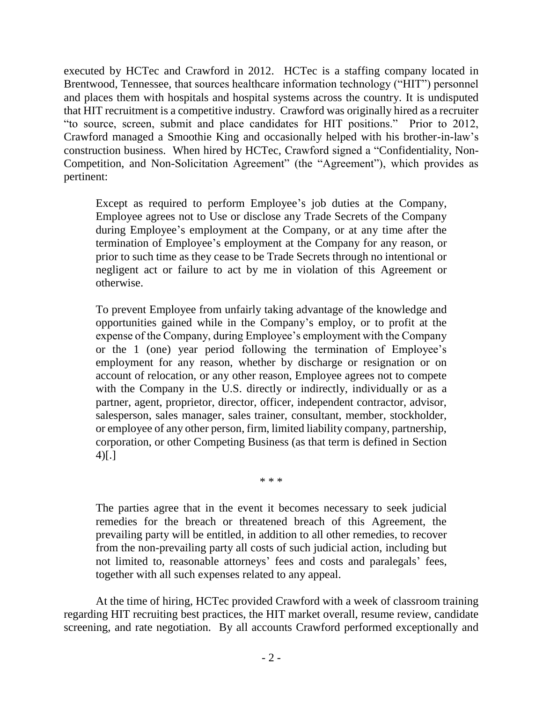executed by HCTec and Crawford in 2012. HCTec is a staffing company located in Brentwood, Tennessee, that sources healthcare information technology ("HIT") personnel and places them with hospitals and hospital systems across the country. It is undisputed that HIT recruitment is a competitive industry. Crawford was originally hired as a recruiter "to source, screen, submit and place candidates for HIT positions." Prior to 2012, Crawford managed a Smoothie King and occasionally helped with his brother-in-law's construction business. When hired by HCTec, Crawford signed a "Confidentiality, Non-Competition, and Non-Solicitation Agreement" (the "Agreement"), which provides as pertinent:

Except as required to perform Employee's job duties at the Company, Employee agrees not to Use or disclose any Trade Secrets of the Company during Employee's employment at the Company, or at any time after the termination of Employee's employment at the Company for any reason, or prior to such time as they cease to be Trade Secrets through no intentional or negligent act or failure to act by me in violation of this Agreement or otherwise.

To prevent Employee from unfairly taking advantage of the knowledge and opportunities gained while in the Company's employ, or to profit at the expense of the Company, during Employee's employment with the Company or the 1 (one) year period following the termination of Employee's employment for any reason, whether by discharge or resignation or on account of relocation, or any other reason, Employee agrees not to compete with the Company in the U.S. directly or indirectly, individually or as a partner, agent, proprietor, director, officer, independent contractor, advisor, salesperson, sales manager, sales trainer, consultant, member, stockholder, or employee of any other person, firm, limited liability company, partnership, corporation, or other Competing Business (as that term is defined in Section 4)[.]

\* \* \*

The parties agree that in the event it becomes necessary to seek judicial remedies for the breach or threatened breach of this Agreement, the prevailing party will be entitled, in addition to all other remedies, to recover from the non-prevailing party all costs of such judicial action, including but not limited to, reasonable attorneys' fees and costs and paralegals' fees, together with all such expenses related to any appeal.

At the time of hiring, HCTec provided Crawford with a week of classroom training regarding HIT recruiting best practices, the HIT market overall, resume review, candidate screening, and rate negotiation. By all accounts Crawford performed exceptionally and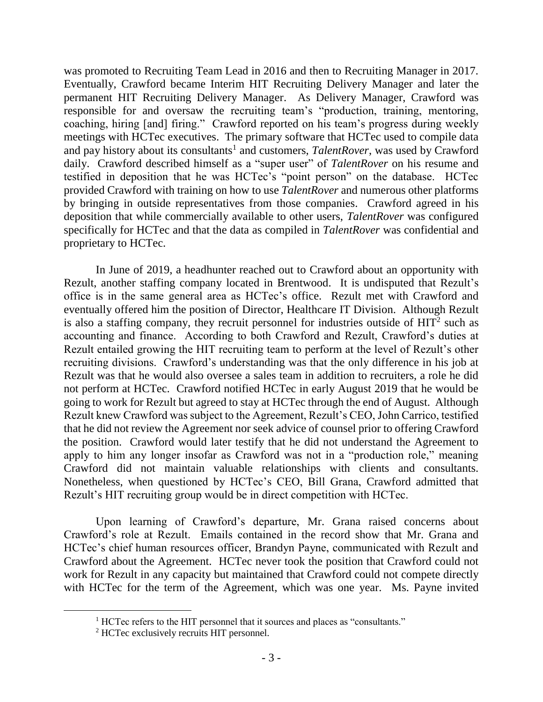was promoted to Recruiting Team Lead in 2016 and then to Recruiting Manager in 2017. Eventually, Crawford became Interim HIT Recruiting Delivery Manager and later the permanent HIT Recruiting Delivery Manager. As Delivery Manager, Crawford was responsible for and oversaw the recruiting team's "production, training, mentoring, coaching, hiring [and] firing." Crawford reported on his team's progress during weekly meetings with HCTec executives. The primary software that HCTec used to compile data and pay history about its consultants<sup>1</sup> and customers, *TalentRover*, was used by Crawford daily. Crawford described himself as a "super user" of *TalentRover* on his resume and testified in deposition that he was HCTec's "point person" on the database. HCTec provided Crawford with training on how to use *TalentRover* and numerous other platforms by bringing in outside representatives from those companies. Crawford agreed in his deposition that while commercially available to other users, *TalentRover* was configured specifically for HCTec and that the data as compiled in *TalentRover* was confidential and proprietary to HCTec.

In June of 2019, a headhunter reached out to Crawford about an opportunity with Rezult, another staffing company located in Brentwood. It is undisputed that Rezult's office is in the same general area as HCTec's office. Rezult met with Crawford and eventually offered him the position of Director, Healthcare IT Division. Although Rezult is also a staffing company, they recruit personnel for industries outside of  $HIT<sup>2</sup>$  such as accounting and finance. According to both Crawford and Rezult, Crawford's duties at Rezult entailed growing the HIT recruiting team to perform at the level of Rezult's other recruiting divisions. Crawford's understanding was that the only difference in his job at Rezult was that he would also oversee a sales team in addition to recruiters, a role he did not perform at HCTec. Crawford notified HCTec in early August 2019 that he would be going to work for Rezult but agreed to stay at HCTec through the end of August. Although Rezult knew Crawford was subject to the Agreement, Rezult's CEO, John Carrico, testified that he did not review the Agreement nor seek advice of counsel prior to offering Crawford the position. Crawford would later testify that he did not understand the Agreement to apply to him any longer insofar as Crawford was not in a "production role," meaning Crawford did not maintain valuable relationships with clients and consultants. Nonetheless, when questioned by HCTec's CEO, Bill Grana, Crawford admitted that Rezult's HIT recruiting group would be in direct competition with HCTec.

 Upon learning of Crawford's departure, Mr. Grana raised concerns about Crawford's role at Rezult. Emails contained in the record show that Mr. Grana and HCTec's chief human resources officer, Brandyn Payne, communicated with Rezult and Crawford about the Agreement. HCTec never took the position that Crawford could not work for Rezult in any capacity but maintained that Crawford could not compete directly with HCTec for the term of the Agreement, which was one year. Ms. Payne invited

<sup>&</sup>lt;sup>1</sup> HCTec refers to the HIT personnel that it sources and places as "consultants."

<sup>2</sup> HCTec exclusively recruits HIT personnel.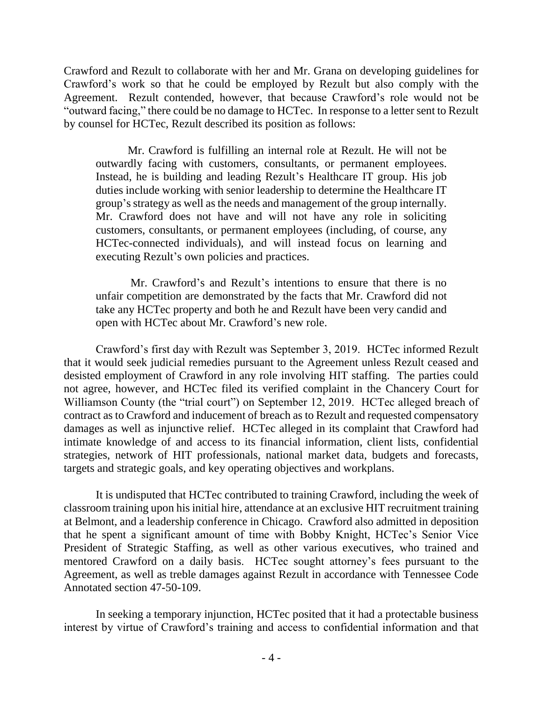Crawford and Rezult to collaborate with her and Mr. Grana on developing guidelines for Crawford's work so that he could be employed by Rezult but also comply with the Agreement. Rezult contended, however, that because Crawford's role would not be "outward facing," there could be no damage to HCTec. In response to a letter sent to Rezult by counsel for HCTec, Rezult described its position as follows:

Mr. Crawford is fulfilling an internal role at Rezult. He will not be outwardly facing with customers, consultants, or permanent employees. Instead, he is building and leading Rezult's Healthcare IT group. His job duties include working with senior leadership to determine the Healthcare IT group's strategy as well as the needs and management of the group internally. Mr. Crawford does not have and will not have any role in soliciting customers, consultants, or permanent employees (including, of course, any HCTec-connected individuals), and will instead focus on learning and executing Rezult's own policies and practices.

Mr. Crawford's and Rezult's intentions to ensure that there is no unfair competition are demonstrated by the facts that Mr. Crawford did not take any HCTec property and both he and Rezult have been very candid and open with HCTec about Mr. Crawford's new role.

Crawford's first day with Rezult was September 3, 2019. HCTec informed Rezult that it would seek judicial remedies pursuant to the Agreement unless Rezult ceased and desisted employment of Crawford in any role involving HIT staffing. The parties could not agree, however, and HCTec filed its verified complaint in the Chancery Court for Williamson County (the "trial court") on September 12, 2019. HCTec alleged breach of contract as to Crawford and inducement of breach as to Rezult and requested compensatory damages as well as injunctive relief. HCTec alleged in its complaint that Crawford had intimate knowledge of and access to its financial information, client lists, confidential strategies, network of HIT professionals, national market data, budgets and forecasts, targets and strategic goals, and key operating objectives and workplans.

It is undisputed that HCTec contributed to training Crawford, including the week of classroom training upon his initial hire, attendance at an exclusive HIT recruitment training at Belmont, and a leadership conference in Chicago. Crawford also admitted in deposition that he spent a significant amount of time with Bobby Knight, HCTec's Senior Vice President of Strategic Staffing, as well as other various executives, who trained and mentored Crawford on a daily basis. HCTec sought attorney's fees pursuant to the Agreement, as well as treble damages against Rezult in accordance with Tennessee Code Annotated section 47-50-109.

In seeking a temporary injunction, HCTec posited that it had a protectable business interest by virtue of Crawford's training and access to confidential information and that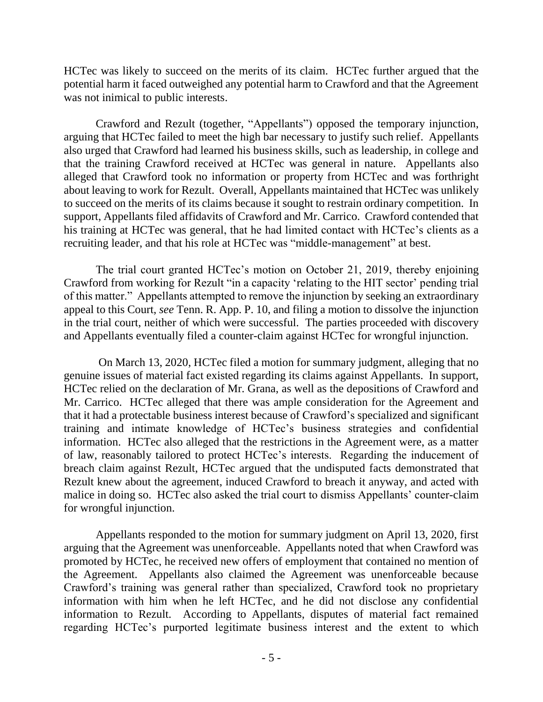HCTec was likely to succeed on the merits of its claim. HCTec further argued that the potential harm it faced outweighed any potential harm to Crawford and that the Agreement was not inimical to public interests.

Crawford and Rezult (together, "Appellants") opposed the temporary injunction, arguing that HCTec failed to meet the high bar necessary to justify such relief. Appellants also urged that Crawford had learned his business skills, such as leadership, in college and that the training Crawford received at HCTec was general in nature. Appellants also alleged that Crawford took no information or property from HCTec and was forthright about leaving to work for Rezult. Overall, Appellants maintained that HCTec was unlikely to succeed on the merits of its claims because it sought to restrain ordinary competition. In support, Appellants filed affidavits of Crawford and Mr. Carrico. Crawford contended that his training at HCTec was general, that he had limited contact with HCTec's clients as a recruiting leader, and that his role at HCTec was "middle-management" at best.

The trial court granted HCTec's motion on October 21, 2019, thereby enjoining Crawford from working for Rezult "in a capacity 'relating to the HIT sector' pending trial of this matter." Appellants attempted to remove the injunction by seeking an extraordinary appeal to this Court, *see* Tenn. R. App. P. 10, and filing a motion to dissolve the injunction in the trial court, neither of which were successful. The parties proceeded with discovery and Appellants eventually filed a counter-claim against HCTec for wrongful injunction.

On March 13, 2020, HCTec filed a motion for summary judgment, alleging that no genuine issues of material fact existed regarding its claims against Appellants. In support, HCTec relied on the declaration of Mr. Grana, as well as the depositions of Crawford and Mr. Carrico. HCTec alleged that there was ample consideration for the Agreement and that it had a protectable business interest because of Crawford's specialized and significant training and intimate knowledge of HCTec's business strategies and confidential information. HCTec also alleged that the restrictions in the Agreement were, as a matter of law, reasonably tailored to protect HCTec's interests. Regarding the inducement of breach claim against Rezult, HCTec argued that the undisputed facts demonstrated that Rezult knew about the agreement, induced Crawford to breach it anyway, and acted with malice in doing so. HCTec also asked the trial court to dismiss Appellants' counter-claim for wrongful injunction.

Appellants responded to the motion for summary judgment on April 13, 2020, first arguing that the Agreement was unenforceable. Appellants noted that when Crawford was promoted by HCTec, he received new offers of employment that contained no mention of the Agreement. Appellants also claimed the Agreement was unenforceable because Crawford's training was general rather than specialized, Crawford took no proprietary information with him when he left HCTec, and he did not disclose any confidential information to Rezult. According to Appellants, disputes of material fact remained regarding HCTec's purported legitimate business interest and the extent to which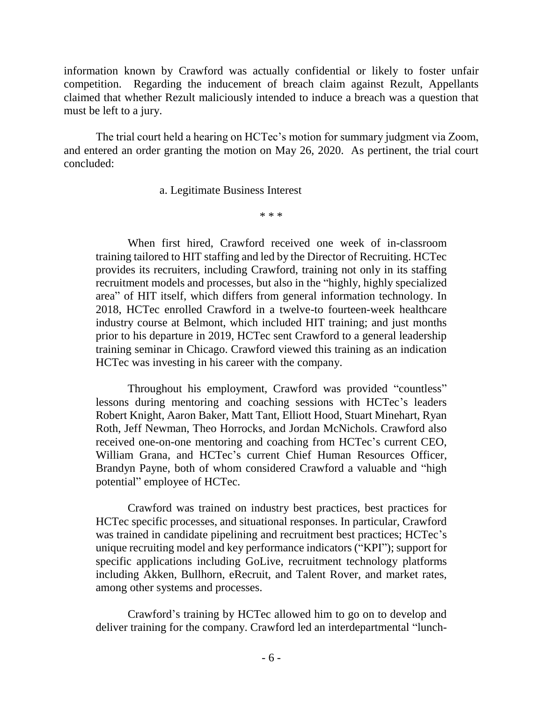information known by Crawford was actually confidential or likely to foster unfair competition. Regarding the inducement of breach claim against Rezult, Appellants claimed that whether Rezult maliciously intended to induce a breach was a question that must be left to a jury.

The trial court held a hearing on HCTec's motion for summary judgment via Zoom, and entered an order granting the motion on May 26, 2020. As pertinent, the trial court concluded:

a. Legitimate Business Interest

\* \* \*

When first hired, Crawford received one week of in-classroom training tailored to HIT staffing and led by the Director of Recruiting. HCTec provides its recruiters, including Crawford, training not only in its staffing recruitment models and processes, but also in the "highly, highly specialized area" of HIT itself, which differs from general information technology. In 2018, HCTec enrolled Crawford in a twelve-to fourteen-week healthcare industry course at Belmont, which included HIT training; and just months prior to his departure in 2019, HCTec sent Crawford to a general leadership training seminar in Chicago. Crawford viewed this training as an indication HCTec was investing in his career with the company.

Throughout his employment, Crawford was provided "countless" lessons during mentoring and coaching sessions with HCTec's leaders Robert Knight, Aaron Baker, Matt Tant, Elliott Hood, Stuart Minehart, Ryan Roth, Jeff Newman, Theo Horrocks, and Jordan McNichols. Crawford also received one-on-one mentoring and coaching from HCTec's current CEO, William Grana, and HCTec's current Chief Human Resources Officer, Brandyn Payne, both of whom considered Crawford a valuable and "high potential" employee of HCTec.

Crawford was trained on industry best practices, best practices for HCTec specific processes, and situational responses. In particular, Crawford was trained in candidate pipelining and recruitment best practices; HCTec's unique recruiting model and key performance indicators ("KPI"); support for specific applications including GoLive, recruitment technology platforms including Akken, Bullhorn, eRecruit, and Talent Rover, and market rates, among other systems and processes.

Crawford's training by HCTec allowed him to go on to develop and deliver training for the company. Crawford led an interdepartmental "lunch-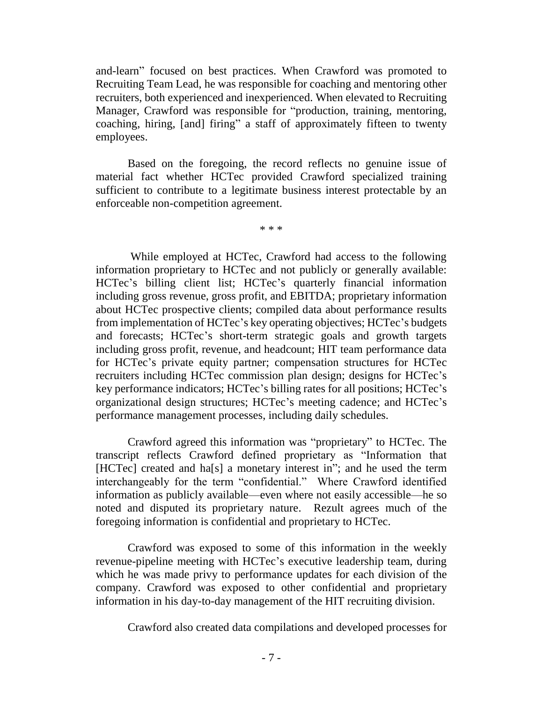and-learn" focused on best practices. When Crawford was promoted to Recruiting Team Lead, he was responsible for coaching and mentoring other recruiters, both experienced and inexperienced. When elevated to Recruiting Manager, Crawford was responsible for "production, training, mentoring, coaching, hiring, [and] firing" a staff of approximately fifteen to twenty employees.

Based on the foregoing, the record reflects no genuine issue of material fact whether HCTec provided Crawford specialized training sufficient to contribute to a legitimate business interest protectable by an enforceable non-competition agreement.

\* \* \*

While employed at HCTec, Crawford had access to the following information proprietary to HCTec and not publicly or generally available: HCTec's billing client list; HCTec's quarterly financial information including gross revenue, gross profit, and EBITDA; proprietary information about HCTec prospective clients; compiled data about performance results from implementation of HCTec's key operating objectives; HCTec's budgets and forecasts; HCTec's short-term strategic goals and growth targets including gross profit, revenue, and headcount; HIT team performance data for HCTec's private equity partner; compensation structures for HCTec recruiters including HCTec commission plan design; designs for HCTec's key performance indicators; HCTec's billing rates for all positions; HCTec's organizational design structures; HCTec's meeting cadence; and HCTec's performance management processes, including daily schedules.

Crawford agreed this information was "proprietary" to HCTec. The transcript reflects Crawford defined proprietary as "Information that [HCTec] created and ha<sup>[s]</sup> a monetary interest in"; and he used the term interchangeably for the term "confidential." Where Crawford identified information as publicly available—even where not easily accessible—he so noted and disputed its proprietary nature. Rezult agrees much of the foregoing information is confidential and proprietary to HCTec.

Crawford was exposed to some of this information in the weekly revenue-pipeline meeting with HCTec's executive leadership team, during which he was made privy to performance updates for each division of the company. Crawford was exposed to other confidential and proprietary information in his day-to-day management of the HIT recruiting division.

Crawford also created data compilations and developed processes for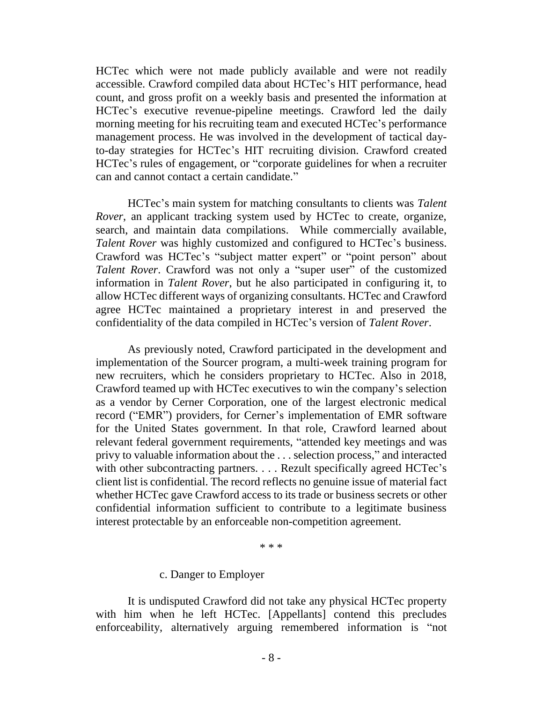HCTec which were not made publicly available and were not readily accessible. Crawford compiled data about HCTec's HIT performance, head count, and gross profit on a weekly basis and presented the information at HCTec's executive revenue-pipeline meetings. Crawford led the daily morning meeting for his recruiting team and executed HCTec's performance management process. He was involved in the development of tactical dayto-day strategies for HCTec's HIT recruiting division. Crawford created HCTec's rules of engagement, or "corporate guidelines for when a recruiter can and cannot contact a certain candidate."

HCTec's main system for matching consultants to clients was *Talent Rover*, an applicant tracking system used by HCTec to create, organize, search, and maintain data compilations. While commercially available, *Talent Rover* was highly customized and configured to HCTec's business. Crawford was HCTec's "subject matter expert" or "point person" about *Talent Rover*. Crawford was not only a "super user" of the customized information in *Talent Rover*, but he also participated in configuring it, to allow HCTec different ways of organizing consultants. HCTec and Crawford agree HCTec maintained a proprietary interest in and preserved the confidentiality of the data compiled in HCTec's version of *Talent Rover*.

As previously noted, Crawford participated in the development and implementation of the Sourcer program, a multi-week training program for new recruiters, which he considers proprietary to HCTec. Also in 2018, Crawford teamed up with HCTec executives to win the company's selection as a vendor by Cerner Corporation, one of the largest electronic medical record ("EMR") providers, for Cerner's implementation of EMR software for the United States government. In that role, Crawford learned about relevant federal government requirements, "attended key meetings and was privy to valuable information about the . . . selection process," and interacted with other subcontracting partners. . . . Rezult specifically agreed HCTec's client list is confidential. The record reflects no genuine issue of material fact whether HCTec gave Crawford access to its trade or business secrets or other confidential information sufficient to contribute to a legitimate business interest protectable by an enforceable non-competition agreement.

\* \* \*

#### c. Danger to Employer

It is undisputed Crawford did not take any physical HCTec property with him when he left HCTec. [Appellants] contend this precludes enforceability, alternatively arguing remembered information is "not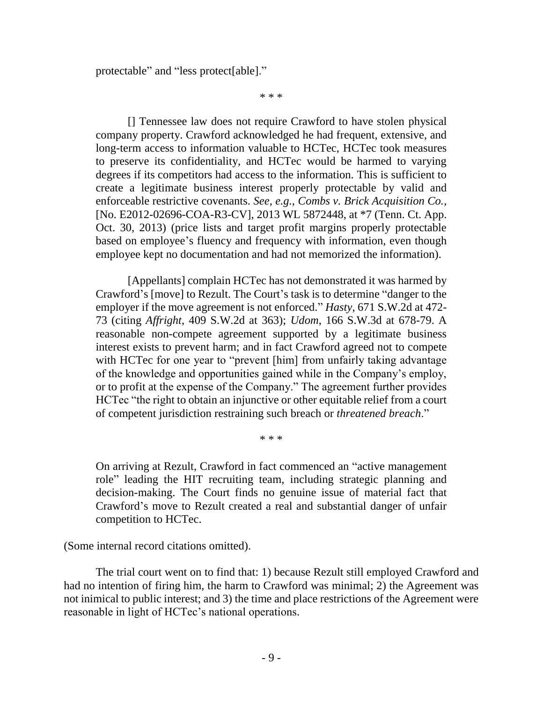protectable" and "less protect[able]."

\* \* \*

[] Tennessee law does not require Crawford to have stolen physical company property. Crawford acknowledged he had frequent, extensive, and long-term access to information valuable to HCTec, HCTec took measures to preserve its confidentiality, and HCTec would be harmed to varying degrees if its competitors had access to the information. This is sufficient to create a legitimate business interest properly protectable by valid and enforceable restrictive covenants. *See, e.g.*, *Combs v. Brick Acquisition Co.*, [No. E2012-02696-COA-R3-CV], 2013 WL 5872448, at \*7 (Tenn. Ct. App. Oct. 30, 2013) (price lists and target profit margins properly protectable based on employee's fluency and frequency with information, even though employee kept no documentation and had not memorized the information).

[Appellants] complain HCTec has not demonstrated it was harmed by Crawford's [move] to Rezult. The Court's task is to determine "danger to the employer if the move agreement is not enforced." *Hasty*, 671 S.W.2d at 472- 73 (citing *Affright*, 409 S.W.2d at 363); *Udom*, 166 S.W.3d at 678-79. A reasonable non-compete agreement supported by a legitimate business interest exists to prevent harm; and in fact Crawford agreed not to compete with HCTec for one year to "prevent [him] from unfairly taking advantage of the knowledge and opportunities gained while in the Company's employ, or to profit at the expense of the Company." The agreement further provides HCTec "the right to obtain an injunctive or other equitable relief from a court of competent jurisdiction restraining such breach or *threatened breach*."

\* \* \*

On arriving at Rezult, Crawford in fact commenced an "active management role" leading the HIT recruiting team, including strategic planning and decision-making. The Court finds no genuine issue of material fact that Crawford's move to Rezult created a real and substantial danger of unfair competition to HCTec.

(Some internal record citations omitted).

The trial court went on to find that: 1) because Rezult still employed Crawford and had no intention of firing him, the harm to Crawford was minimal; 2) the Agreement was not inimical to public interest; and 3) the time and place restrictions of the Agreement were reasonable in light of HCTec's national operations.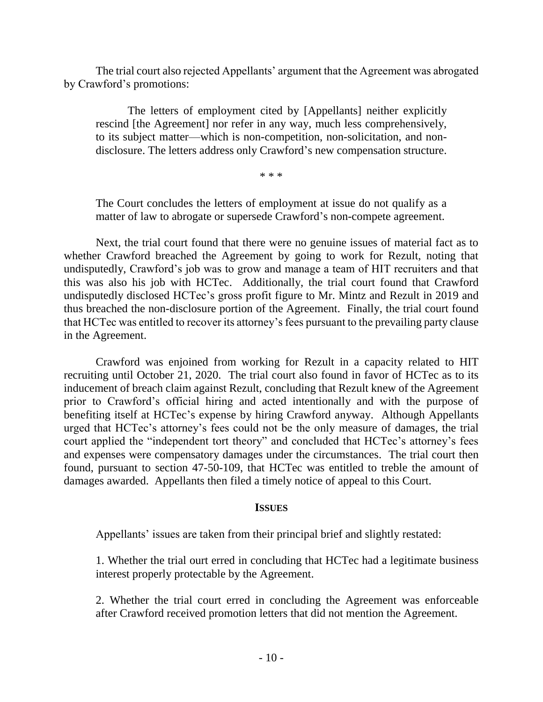The trial court also rejected Appellants' argument that the Agreement was abrogated by Crawford's promotions:

The letters of employment cited by [Appellants] neither explicitly rescind [the Agreement] nor refer in any way, much less comprehensively, to its subject matter—which is non-competition, non-solicitation, and nondisclosure. The letters address only Crawford's new compensation structure.

\* \* \*

The Court concludes the letters of employment at issue do not qualify as a matter of law to abrogate or supersede Crawford's non-compete agreement.

Next, the trial court found that there were no genuine issues of material fact as to whether Crawford breached the Agreement by going to work for Rezult, noting that undisputedly, Crawford's job was to grow and manage a team of HIT recruiters and that this was also his job with HCTec. Additionally, the trial court found that Crawford undisputedly disclosed HCTec's gross profit figure to Mr. Mintz and Rezult in 2019 and thus breached the non-disclosure portion of the Agreement. Finally, the trial court found that HCTec was entitled to recover its attorney's fees pursuant to the prevailing party clause in the Agreement.

Crawford was enjoined from working for Rezult in a capacity related to HIT recruiting until October 21, 2020. The trial court also found in favor of HCTec as to its inducement of breach claim against Rezult, concluding that Rezult knew of the Agreement prior to Crawford's official hiring and acted intentionally and with the purpose of benefiting itself at HCTec's expense by hiring Crawford anyway. Although Appellants urged that HCTec's attorney's fees could not be the only measure of damages, the trial court applied the "independent tort theory" and concluded that HCTec's attorney's fees and expenses were compensatory damages under the circumstances. The trial court then found, pursuant to section 47-50-109, that HCTec was entitled to treble the amount of damages awarded. Appellants then filed a timely notice of appeal to this Court.

### **ISSUES**

Appellants' issues are taken from their principal brief and slightly restated:

1. Whether the trial ourt erred in concluding that HCTec had a legitimate business interest properly protectable by the Agreement.

2. Whether the trial court erred in concluding the Agreement was enforceable after Crawford received promotion letters that did not mention the Agreement.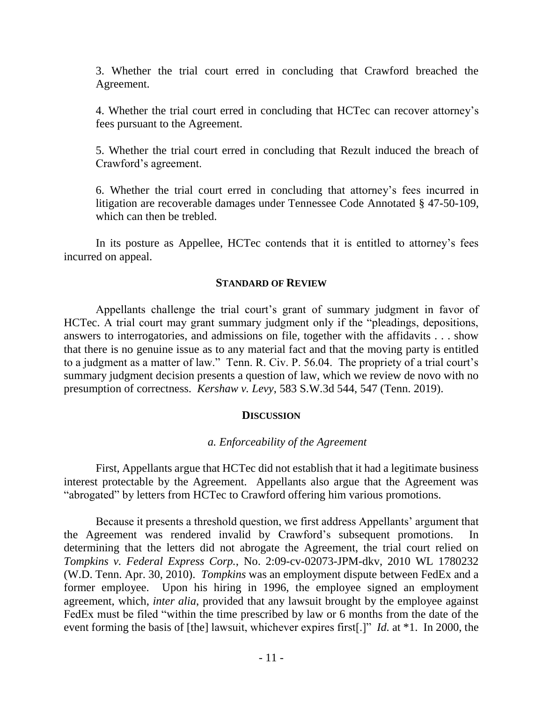3. Whether the trial court erred in concluding that Crawford breached the Agreement.

4. Whether the trial court erred in concluding that HCTec can recover attorney's fees pursuant to the Agreement.

5. Whether the trial court erred in concluding that Rezult induced the breach of Crawford's agreement.

6. Whether the trial court erred in concluding that attorney's fees incurred in litigation are recoverable damages under Tennessee Code Annotated § 47-50-109, which can then be trebled.

In its posture as Appellee, HCTec contends that it is entitled to attorney's fees incurred on appeal.

#### **STANDARD OF REVIEW**

Appellants challenge the trial court's grant of summary judgment in favor of HCTec. A trial court may grant summary judgment only if the "pleadings, depositions, answers to interrogatories, and admissions on file, together with the affidavits . . . show that there is no genuine issue as to any material fact and that the moving party is entitled to a judgment as a matter of law." Tenn. R. Civ. P. 56.04. The propriety of a trial court's summary judgment decision presents a question of law, which we review de novo with no presumption of correctness. *Kershaw v. Levy*, 583 S.W.3d 544, 547 (Tenn. 2019).

### **DISCUSSION**

### *a. Enforceability of the Agreement*

First, Appellants argue that HCTec did not establish that it had a legitimate business interest protectable by the Agreement. Appellants also argue that the Agreement was "abrogated" by letters from HCTec to Crawford offering him various promotions.

Because it presents a threshold question, we first address Appellants' argument that the Agreement was rendered invalid by Crawford's subsequent promotions. In determining that the letters did not abrogate the Agreement, the trial court relied on *Tompkins v. Federal Express Corp.*, No. 2:09-cv-02073-JPM-dkv, 2010 WL 1780232 (W.D. Tenn. Apr. 30, 2010). *Tompkins* was an employment dispute between FedEx and a former employee. Upon his hiring in 1996, the employee signed an employment agreement, which, *inter alia*, provided that any lawsuit brought by the employee against FedEx must be filed "within the time prescribed by law or 6 months from the date of the event forming the basis of [the] lawsuit, whichever expires first[.]" *Id.* at \*1. In 2000, the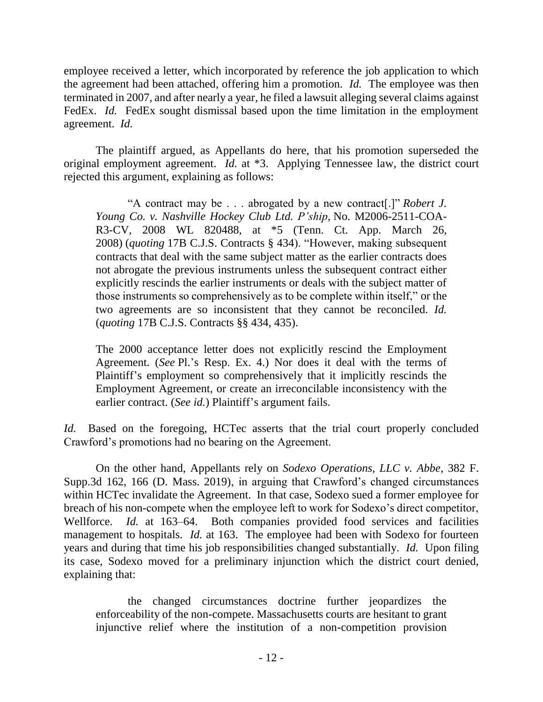employee received a letter, which incorporated by reference the job application to which the agreement had been attached, offering him a promotion. *Id.* The employee was then terminated in 2007, and after nearly a year, he filed a lawsuit alleging several claims against FedEx. *Id.* FedEx sought dismissal based upon the time limitation in the employment agreement. *Id.* 

The plaintiff argued, as Appellants do here, that his promotion superseded the original employment agreement. *Id.* at \*3. Applying Tennessee law, the district court rejected this argument, explaining as follows:

"A contract may be . . . abrogated by a new contract[.]" *Robert J. Young Co. v. Nashville Hockey Club Ltd. P'ship*, No. M2006-2511-COA-R3-CV, 2008 WL 820488, at \*5 (Tenn. Ct. App. March 26, 2008) (*quoting* 17B C.J.S. Contracts § 434). "However, making subsequent contracts that deal with the same subject matter as the earlier contracts does not abrogate the previous instruments unless the subsequent contract either explicitly rescinds the earlier instruments or deals with the subject matter of those instruments so comprehensively as to be complete within itself," or the two agreements are so inconsistent that they cannot be reconciled. *Id.* (*quoting* 17B C.J.S. Contracts §§ 434, 435).

The 2000 acceptance letter does not explicitly rescind the Employment Agreement. (*See* Pl.'s Resp. Ex. 4.) Nor does it deal with the terms of Plaintiff's employment so comprehensively that it implicitly rescinds the Employment Agreement, or create an irreconcilable inconsistency with the earlier contract. (*See id.*) Plaintiff's argument fails.

*Id.* Based on the foregoing, HCTec asserts that the trial court properly concluded Crawford's promotions had no bearing on the Agreement.

On the other hand, Appellants rely on *Sodexo Operations, LLC v. Abbe*, 382 F. Supp.3d 162, 166 (D. Mass. 2019), in arguing that Crawford's changed circumstances within HCTec invalidate the Agreement. In that case, Sodexo sued a former employee for breach of his non-compete when the employee left to work for Sodexo's direct competitor, Wellforce. *Id.* at 163–64. Both companies provided food services and facilities management to hospitals. *Id.* at 163. The employee had been with Sodexo for fourteen years and during that time his job responsibilities changed substantially. *Id.* Upon filing its case, Sodexo moved for a preliminary injunction which the district court denied, explaining that:

the changed circumstances doctrine further jeopardizes the enforceability of the non-compete. Massachusetts courts are hesitant to grant injunctive relief where the institution of a non-competition provision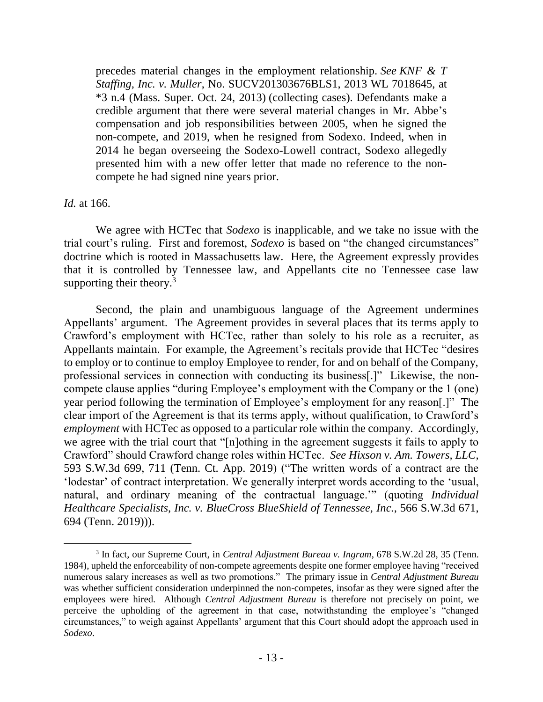precedes material changes in the employment relationship. *See KNF & T Staffing, Inc. v. Muller*, No. SUCV201303676BLS1, 2013 WL 7018645, at \*3 n.4 (Mass. Super. Oct. 24, 2013) (collecting cases). Defendants make a credible argument that there were several material changes in Mr. Abbe's compensation and job responsibilities between 2005, when he signed the non-compete, and 2019, when he resigned from Sodexo. Indeed, when in 2014 he began overseeing the Sodexo-Lowell contract, Sodexo allegedly presented him with a new offer letter that made no reference to the noncompete he had signed nine years prior.

## *Id.* at 166.

 $\overline{a}$ 

We agree with HCTec that *Sodexo* is inapplicable, and we take no issue with the trial court's ruling. First and foremost, *Sodexo* is based on "the changed circumstances" doctrine which is rooted in Massachusetts law. Here, the Agreement expressly provides that it is controlled by Tennessee law, and Appellants cite no Tennessee case law supporting their theory.<sup>3</sup>

Second, the plain and unambiguous language of the Agreement undermines Appellants' argument. The Agreement provides in several places that its terms apply to Crawford's employment with HCTec, rather than solely to his role as a recruiter, as Appellants maintain. For example, the Agreement's recitals provide that HCTec "desires to employ or to continue to employ Employee to render, for and on behalf of the Company, professional services in connection with conducting its business[.]" Likewise, the noncompete clause applies "during Employee's employment with the Company or the 1 (one) year period following the termination of Employee's employment for any reason[.]" The clear import of the Agreement is that its terms apply, without qualification, to Crawford's *employment* with HCTec as opposed to a particular role within the company. Accordingly, we agree with the trial court that "[n]othing in the agreement suggests it fails to apply to Crawford" should Crawford change roles within HCTec. *See Hixson v. Am. Towers, LLC*, 593 S.W.3d 699, 711 (Tenn. Ct. App. 2019) ("The written words of a contract are the 'lodestar' of contract interpretation. We generally interpret words according to the 'usual, natural, and ordinary meaning of the contractual language.'" (quoting *Individual Healthcare Specialists, Inc. v. BlueCross BlueShield of Tennessee, Inc.*, 566 S.W.3d 671, 694 (Tenn. 2019))).

<sup>3</sup> In fact, our Supreme Court, in *Central Adjustment Bureau v. Ingram*, 678 S.W.2d 28, 35 (Tenn. 1984), upheld the enforceability of non-compete agreements despite one former employee having "received numerous salary increases as well as two promotions." The primary issue in *Central Adjustment Bureau* was whether sufficient consideration underpinned the non-competes, insofar as they were signed after the employees were hired. Although *Central Adjustment Bureau* is therefore not precisely on point, we perceive the upholding of the agreement in that case, notwithstanding the employee's "changed circumstances," to weigh against Appellants' argument that this Court should adopt the approach used in *Sodexo*.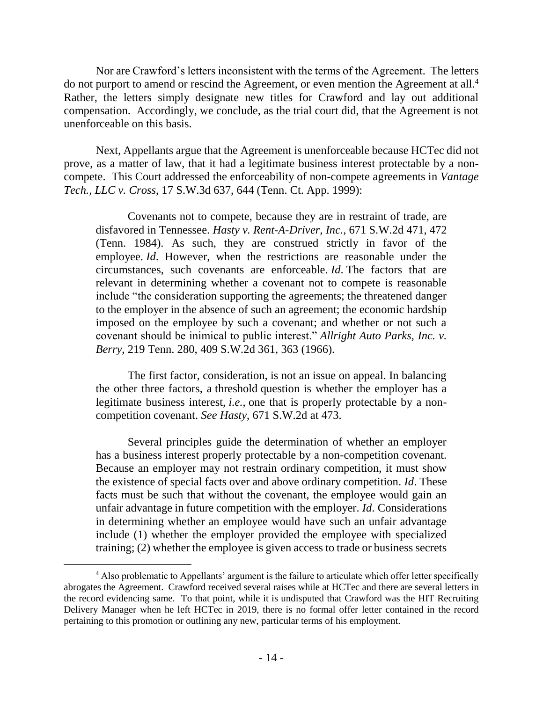Nor are Crawford's letters inconsistent with the terms of the Agreement. The letters do not purport to amend or rescind the Agreement, or even mention the Agreement at all.<sup>4</sup> Rather, the letters simply designate new titles for Crawford and lay out additional compensation. Accordingly, we conclude, as the trial court did, that the Agreement is not unenforceable on this basis.

Next, Appellants argue that the Agreement is unenforceable because HCTec did not prove, as a matter of law, that it had a legitimate business interest protectable by a noncompete. This Court addressed the enforceability of non-compete agreements in *Vantage Tech., LLC v. Cross*, 17 S.W.3d 637, 644 (Tenn. Ct. App. 1999):

Covenants not to compete, because they are in restraint of trade, are disfavored in Tennessee. *Hasty v. Rent-A-Driver, Inc.*, 671 S.W.2d 471, 472 (Tenn. 1984). As such, they are construed strictly in favor of the employee. *Id*. However, when the restrictions are reasonable under the circumstances, such covenants are enforceable. *[Id](https://1.next.westlaw.com/Link/Document/FullText?findType=Y&serNum=1984130894&originatingDoc=I26ad6a2ee7bb11d98ac8f235252e36df&refType=RP&originationContext=document&transitionType=DocumentItem&ppcid=00bbc0c604274bdd96ff4a180b36d6e6&contextData=(sc.Default))*. The factors that are relevant in determining whether a covenant not to compete is reasonable include "the consideration supporting the agreements; the threatened danger to the employer in the absence of such an agreement; the economic hardship imposed on the employee by such a covenant; and whether or not such a covenant should be inimical to public interest." *Allright Auto Parks, Inc. v. Berry*, 219 Tenn. 280, 409 S.W.2d 361, 363 (1966).

The first factor, consideration, is not an issue on appeal. In balancing the other three factors, a threshold question is whether the employer has a legitimate business interest, *i.e.*, one that is properly protectable by a noncompetition covenant. *See Hasty*, 671 S.W.2d at 473.

Several principles guide the determination of whether an employer has a business interest properly protectable by a non-competition covenant. Because an employer may not restrain ordinary competition, it must show the existence of special facts over and above ordinary competition. *Id*. These facts must be such that without the covenant, the employee would gain an unfair advantage in future competition with the employer. *Id*. Considerations in determining whether an employee would have such an unfair advantage include (1) whether the employer provided the employee with specialized training; (2) whether the employee is given access to trade or business secrets

<sup>4</sup> Also problematic to Appellants' argument is the failure to articulate which offer letter specifically abrogates the Agreement. Crawford received several raises while at HCTec and there are several letters in the record evidencing same. To that point, while it is undisputed that Crawford was the HIT Recruiting Delivery Manager when he left HCTec in 2019, there is no formal offer letter contained in the record pertaining to this promotion or outlining any new, particular terms of his employment.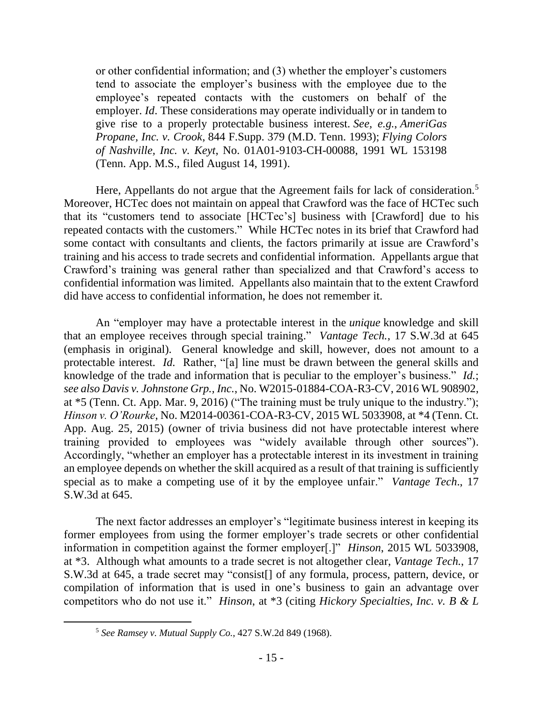or other confidential information; and (3) whether the employer's customers tend to associate the employer's business with the employee due to the employee's repeated contacts with the customers on behalf of the employer. *Id*. These considerations may operate individually or in tandem to give rise to a properly protectable business interest. *See, e.g.*, *AmeriGas Propane, Inc. v. Crook*, 844 F.Supp. 379 (M.D. Tenn. 1993); *Flying Colors of Nashville, Inc. v. Keyt*, No. 01A01-9103-CH-00088, 1991 WL 153198 (Tenn. App. M.S., filed August 14, 1991).

Here, Appellants do not argue that the Agreement fails for lack of consideration.<sup>5</sup> Moreover, HCTec does not maintain on appeal that Crawford was the face of HCTec such that its "customers tend to associate [HCTec's] business with [Crawford] due to his repeated contacts with the customers." While HCTec notes in its brief that Crawford had some contact with consultants and clients, the factors primarily at issue are Crawford's training and his access to trade secrets and confidential information. Appellants argue that Crawford's training was general rather than specialized and that Crawford's access to confidential information was limited. Appellants also maintain that to the extent Crawford did have access to confidential information, he does not remember it.

An "employer may have a protectable interest in the *unique* knowledge and skill that an employee receives through special training." *Vantage Tech.*, 17 S.W.3d at 645 (emphasis in original). General knowledge and skill, however, does not amount to a protectable interest. *Id.* Rather, "[a] line must be drawn between the general skills and knowledge of the trade and information that is peculiar to the employer's business." *Id.*; *see also Davis v. Johnstone Grp., Inc.*, No. W2015-01884-COA-R3-CV, 2016 WL 908902, at \*5 (Tenn. Ct. App. Mar. 9, 2016) ("The training must be truly unique to the industry."); *Hinson v. O'Rourke*, No. M2014-00361-COA-R3-CV, 2015 WL 5033908, at \*4 (Tenn. Ct. App. Aug. 25, 2015) (owner of trivia business did not have protectable interest where training provided to employees was "widely available through other sources"). Accordingly, "whether an employer has a protectable interest in its investment in training an employee depends on whether the skill acquired as a result of that training is sufficiently special as to make a competing use of it by the employee unfair." *Vantage Tech*., 17 S.W.3d at 645.

The next factor addresses an employer's "legitimate business interest in keeping its former employees from using the former employer's trade secrets or other confidential information in competition against the former employer[.]" *Hinson*, 2015 WL 5033908, at \*3. Although what amounts to a trade secret is not altogether clear, *Vantage Tech.*, 17 S.W.3d at 645, a trade secret may "consist[] of any formula, process, pattern, device, or compilation of information that is used in one's business to gain an advantage over competitors who do not use it." *Hinson*, at \*3 (citing *Hickory Specialties, Inc. v. B & L*

<sup>5</sup> *See Ramsey v. Mutual Supply Co.*, 427 S.W.2d 849 (1968).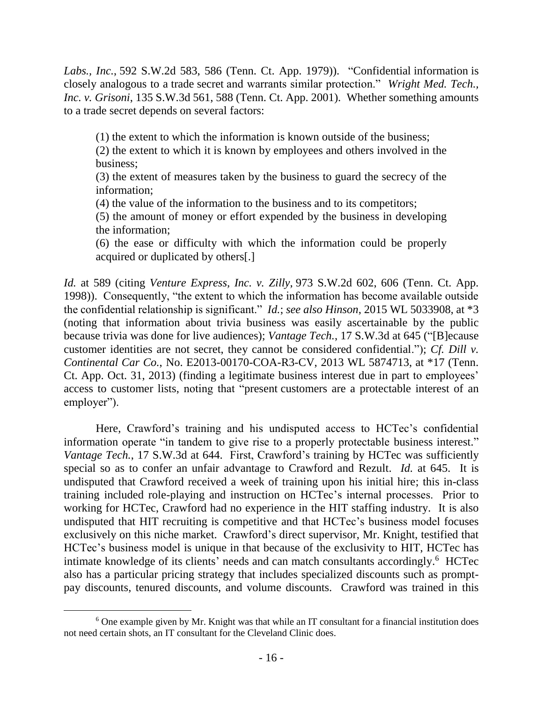*Labs., Inc.*, 592 S.W.2d 583, 586 (Tenn. Ct. App. 1979)). "Confidential information is closely analogous to a trade secret and warrants similar protection." *Wright Med. Tech., Inc. v. Grisoni*, 135 S.W.3d 561, 588 (Tenn. Ct. App. 2001). Whether something amounts to a trade secret depends on several factors:

(1) the extent to which the information is known outside of the business;

(2) the extent to which it is known by employees and others involved in the business;

(3) the extent of measures taken by the business to guard the secrecy of the information;

(4) the value of the information to the business and to its competitors;

(5) the amount of money or effort expended by the business in developing the information;

(6) the ease or difficulty with which the information could be properly acquired or duplicated by others[.]

*Id.* at 589 (citing *Venture Express, Inc. v. Zilly*, 973 S.W.2d 602, 606 (Tenn. Ct. App. 1998)). Consequently, "the extent to which the information has become available outside the confidential relationship is significant." *Id.*; *see also Hinson*, 2015 WL 5033908, at \*3 (noting that information about trivia business was easily ascertainable by the public because trivia was done for live audiences); *Vantage Tech.*, 17 S.W.3d at 645 ("[B]ecause customer identities are not secret, they cannot be considered confidential."); *Cf. Dill v. Continental Car Co.*, No. E2013-00170-COA-R3-CV, 2013 WL 5874713, at \*17 (Tenn. Ct. App. Oct. 31, 2013) (finding a legitimate business interest due in part to employees' access to customer lists, noting that "present customers are a protectable interest of an employer").

Here, Crawford's training and his undisputed access to HCTec's confidential information operate "in tandem to give rise to a properly protectable business interest." *Vantage Tech.*, 17 S.W.3d at 644. First, Crawford's training by HCTec was sufficiently special so as to confer an unfair advantage to Crawford and Rezult. *Id.* at 645. It is undisputed that Crawford received a week of training upon his initial hire; this in-class training included role-playing and instruction on HCTec's internal processes. Prior to working for HCTec, Crawford had no experience in the HIT staffing industry. It is also undisputed that HIT recruiting is competitive and that HCTec's business model focuses exclusively on this niche market. Crawford's direct supervisor, Mr. Knight, testified that HCTec's business model is unique in that because of the exclusivity to HIT, HCTec has intimate knowledge of its clients' needs and can match consultants accordingly.<sup>6</sup> HCTec also has a particular pricing strategy that includes specialized discounts such as promptpay discounts, tenured discounts, and volume discounts. Crawford was trained in this

<sup>&</sup>lt;sup>6</sup> One example given by Mr. Knight was that while an IT consultant for a financial institution does not need certain shots, an IT consultant for the Cleveland Clinic does.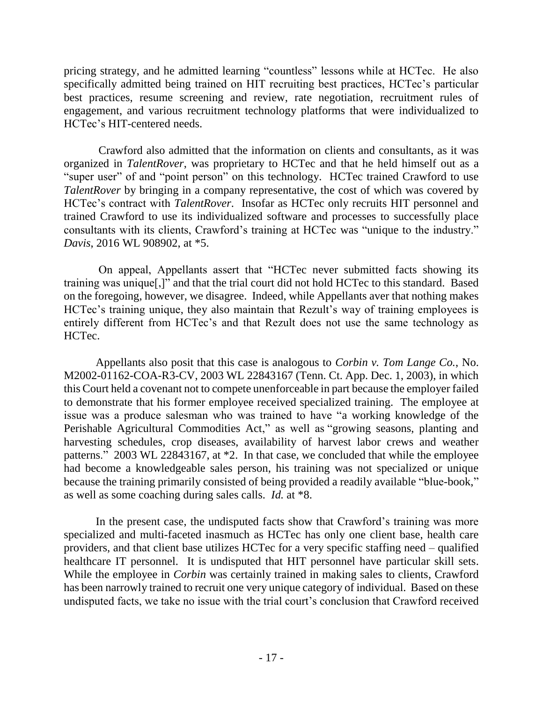pricing strategy, and he admitted learning "countless" lessons while at HCTec. He also specifically admitted being trained on HIT recruiting best practices, HCTec's particular best practices, resume screening and review, rate negotiation, recruitment rules of engagement, and various recruitment technology platforms that were individualized to HCTec's HIT-centered needs.

Crawford also admitted that the information on clients and consultants, as it was organized in *TalentRover*, was proprietary to HCTec and that he held himself out as a "super user" of and "point person" on this technology. HCTec trained Crawford to use *TalentRover* by bringing in a company representative, the cost of which was covered by HCTec's contract with *TalentRover*. Insofar as HCTec only recruits HIT personnel and trained Crawford to use its individualized software and processes to successfully place consultants with its clients, Crawford's training at HCTec was "unique to the industry." *Davis*, 2016 WL 908902, at \*5.

On appeal, Appellants assert that "HCTec never submitted facts showing its training was unique[,]" and that the trial court did not hold HCTec to this standard. Based on the foregoing, however, we disagree. Indeed, while Appellants aver that nothing makes HCTec's training unique, they also maintain that Rezult's way of training employees is entirely different from HCTec's and that Rezult does not use the same technology as HCTec.

Appellants also posit that this case is analogous to *Corbin v. Tom Lange Co.*, No. M2002-01162-COA-R3-CV, 2003 WL 22843167 (Tenn. Ct. App. Dec. 1, 2003), in which this Court held a covenant not to compete unenforceable in part because the employer failed to demonstrate that his former employee received specialized training. The employee at issue was a produce salesman who was trained to have "a working knowledge of the Perishable Agricultural Commodities Act," as well as "growing seasons, planting and harvesting schedules, crop diseases, availability of harvest labor crews and weather patterns." 2003 WL 22843167, at \*2. In that case, we concluded that while the employee had become a knowledgeable sales person, his training was not specialized or unique because the training primarily consisted of being provided a readily available "blue-book," as well as some coaching during sales calls. *Id.* at \*8.

In the present case, the undisputed facts show that Crawford's training was more specialized and multi-faceted inasmuch as HCTec has only one client base, health care providers, and that client base utilizes HCTec for a very specific staffing need – qualified healthcare IT personnel. It is undisputed that HIT personnel have particular skill sets. While the employee in *Corbin* was certainly trained in making sales to clients, Crawford has been narrowly trained to recruit one very unique category of individual. Based on these undisputed facts, we take no issue with the trial court's conclusion that Crawford received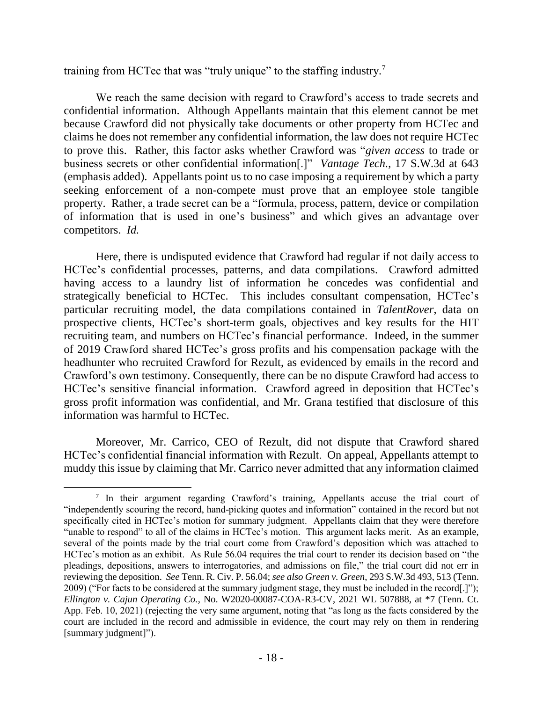training from HCTec that was "truly unique" to the staffing industry.<sup>7</sup>

We reach the same decision with regard to Crawford's access to trade secrets and confidential information. Although Appellants maintain that this element cannot be met because Crawford did not physically take documents or other property from HCTec and claims he does not remember any confidential information, the law does not require HCTec to prove this. Rather, this factor asks whether Crawford was "*given access* to trade or business secrets or other confidential information[.]" *Vantage Tech.*, 17 S.W.3d at 643 (emphasis added). Appellants point us to no case imposing a requirement by which a party seeking enforcement of a non-compete must prove that an employee stole tangible property. Rather, a trade secret can be a "formula, process, pattern, device or compilation of information that is used in one's business" and which gives an advantage over competitors. *Id.*

Here, there is undisputed evidence that Crawford had regular if not daily access to HCTec's confidential processes, patterns, and data compilations. Crawford admitted having access to a laundry list of information he concedes was confidential and strategically beneficial to HCTec. This includes consultant compensation, HCTec's particular recruiting model, the data compilations contained in *TalentRover*, data on prospective clients, HCTec's short-term goals, objectives and key results for the HIT recruiting team, and numbers on HCTec's financial performance. Indeed, in the summer of 2019 Crawford shared HCTec's gross profits and his compensation package with the headhunter who recruited Crawford for Rezult, as evidenced by emails in the record and Crawford's own testimony. Consequently, there can be no dispute Crawford had access to HCTec's sensitive financial information. Crawford agreed in deposition that HCTec's gross profit information was confidential, and Mr. Grana testified that disclosure of this information was harmful to HCTec.

Moreover, Mr. Carrico, CEO of Rezult, did not dispute that Crawford shared HCTec's confidential financial information with Rezult. On appeal, Appellants attempt to muddy this issue by claiming that Mr. Carrico never admitted that any information claimed

<sup>&</sup>lt;sup>7</sup> In their argument regarding Crawford's training, Appellants accuse the trial court of "independently scouring the record, hand-picking quotes and information" contained in the record but not specifically cited in HCTec's motion for summary judgment. Appellants claim that they were therefore "unable to respond" to all of the claims in HCTec's motion. This argument lacks merit. As an example, several of the points made by the trial court come from Crawford's deposition which was attached to HCTec's motion as an exhibit. As Rule 56.04 requires the trial court to render its decision based on "the pleadings, depositions, answers to interrogatories, and admissions on file," the trial court did not err in reviewing the deposition. *See* Tenn. R. Civ. P. 56.04; *see also Green v. Green*, 293 S.W.3d 493, 513 (Tenn. 2009) ("For facts to be considered at the summary judgment stage, they must be included in the record[.]"); *Ellington v. Cajun Operating Co.*, No. W2020-00087-COA-R3-CV, 2021 WL 507888, at \*7 (Tenn. Ct. App. Feb. 10, 2021) (rejecting the very same argument, noting that "as long as the facts considered by the court are included in the record and admissible in evidence, the court may rely on them in rendering [summary judgment]").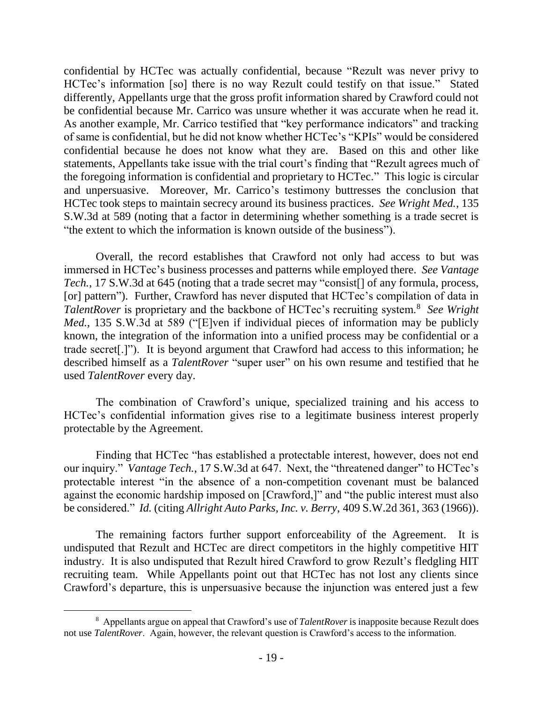confidential by HCTec was actually confidential, because "Rezult was never privy to HCTec's information [so] there is no way Rezult could testify on that issue." Stated differently, Appellants urge that the gross profit information shared by Crawford could not be confidential because Mr. Carrico was unsure whether it was accurate when he read it. As another example, Mr. Carrico testified that "key performance indicators" and tracking of same is confidential, but he did not know whether HCTec's "KPIs" would be considered confidential because he does not know what they are. Based on this and other like statements, Appellants take issue with the trial court's finding that "Rezult agrees much of the foregoing information is confidential and proprietary to HCTec." This logic is circular and unpersuasive. Moreover, Mr. Carrico's testimony buttresses the conclusion that HCTec took steps to maintain secrecy around its business practices. *See Wright Med.*, 135 S.W.3d at 589 (noting that a factor in determining whether something is a trade secret is "the extent to which the information is known outside of the business").

Overall, the record establishes that Crawford not only had access to but was immersed in HCTec's business processes and patterns while employed there. *See Vantage Tech.*, 17 S.W.3d at 645 (noting that a trade secret may "consist<sup>[]</sup> of any formula, process, [or] pattern"). Further, Crawford has never disputed that HCTec's compilation of data in TalentRover is proprietary and the backbone of HCTec's recruiting system.<sup>8</sup> See Wright *Med.*, 135 S.W.3d at 589 ("[E]ven if individual pieces of information may be publicly known, the integration of the information into a unified process may be confidential or a trade secret[.]"). It is beyond argument that Crawford had access to this information; he described himself as a *TalentRover* "super user" on his own resume and testified that he used *TalentRover* every day.

The combination of Crawford's unique, specialized training and his access to HCTec's confidential information gives rise to a legitimate business interest properly protectable by the Agreement.

Finding that HCTec "has established a protectable interest, however, does not end our inquiry." *Vantage Tech.*, 17 S.W.3d at 647. Next, the "threatened danger" to HCTec's protectable interest "in the absence of a non-competition covenant must be balanced against the economic hardship imposed on [Crawford,]" and "the public interest must also be considered." *Id.* (citing *Allright Auto Parks, Inc. v. Berry*, 409 S.W.2d 361, 363 (1966)).

The remaining factors further support enforceability of the Agreement. It is undisputed that Rezult and HCTec are direct competitors in the highly competitive HIT industry. It is also undisputed that Rezult hired Crawford to grow Rezult's fledgling HIT recruiting team. While Appellants point out that HCTec has not lost any clients since Crawford's departure, this is unpersuasive because the injunction was entered just a few

<sup>8</sup> Appellants argue on appeal that Crawford's use of *TalentRover* is inapposite because Rezult does not use *TalentRover*. Again, however, the relevant question is Crawford's access to the information.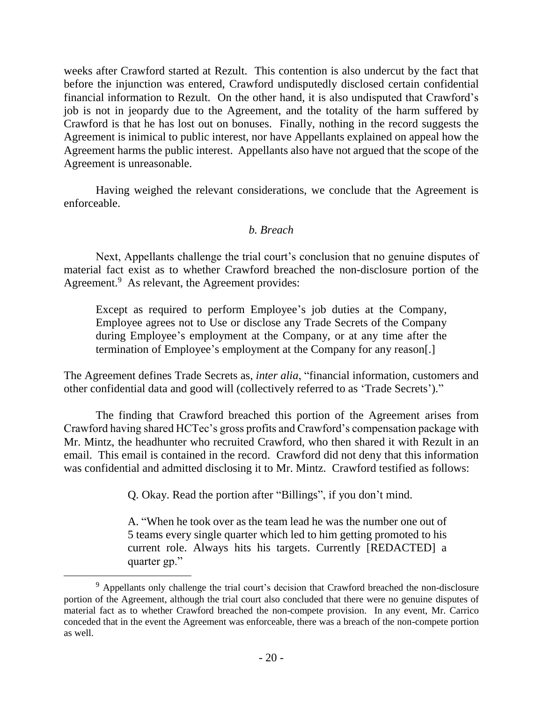weeks after Crawford started at Rezult. This contention is also undercut by the fact that before the injunction was entered, Crawford undisputedly disclosed certain confidential financial information to Rezult. On the other hand, it is also undisputed that Crawford's job is not in jeopardy due to the Agreement, and the totality of the harm suffered by Crawford is that he has lost out on bonuses. Finally, nothing in the record suggests the Agreement is inimical to public interest, nor have Appellants explained on appeal how the Agreement harms the public interest. Appellants also have not argued that the scope of the Agreement is unreasonable.

Having weighed the relevant considerations, we conclude that the Agreement is enforceable.

## *b. Breach*

Next, Appellants challenge the trial court's conclusion that no genuine disputes of material fact exist as to whether Crawford breached the non-disclosure portion of the Agreement.<sup>9</sup> As relevant, the Agreement provides:

Except as required to perform Employee's job duties at the Company, Employee agrees not to Use or disclose any Trade Secrets of the Company during Employee's employment at the Company, or at any time after the termination of Employee's employment at the Company for any reason[.]

The Agreement defines Trade Secrets as, *inter alia*, "financial information, customers and other confidential data and good will (collectively referred to as 'Trade Secrets')."

The finding that Crawford breached this portion of the Agreement arises from Crawford having shared HCTec's gross profits and Crawford's compensation package with Mr. Mintz, the headhunter who recruited Crawford, who then shared it with Rezult in an email. This email is contained in the record. Crawford did not deny that this information was confidential and admitted disclosing it to Mr. Mintz. Crawford testified as follows:

Q. Okay. Read the portion after "Billings", if you don't mind.

A. "When he took over as the team lead he was the number one out of 5 teams every single quarter which led to him getting promoted to his current role. Always hits his targets. Currently [REDACTED] a quarter gp."

 $\overline{a}$ 

<sup>&</sup>lt;sup>9</sup> Appellants only challenge the trial court's decision that Crawford breached the non-disclosure portion of the Agreement, although the trial court also concluded that there were no genuine disputes of material fact as to whether Crawford breached the non-compete provision. In any event, Mr. Carrico conceded that in the event the Agreement was enforceable, there was a breach of the non-compete portion as well.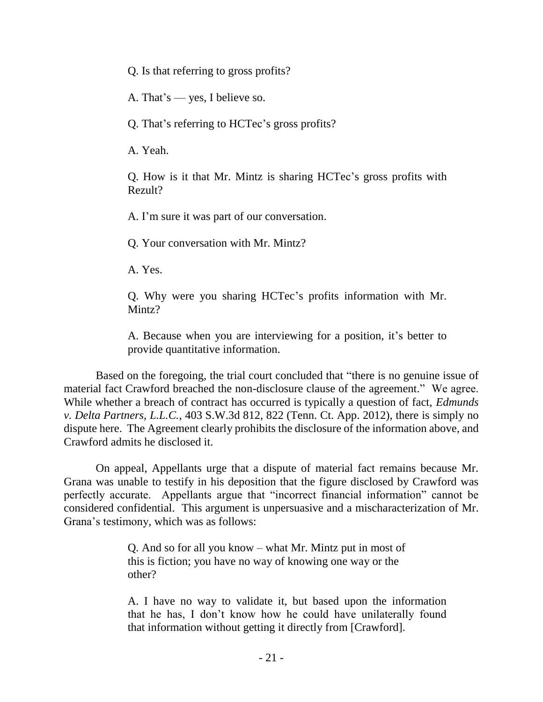Q. Is that referring to gross profits?

A. That's — yes, I believe so.

Q. That's referring to HCTec's gross profits?

A. Yeah.

Q. How is it that Mr. Mintz is sharing HCTec's gross profits with Rezult?

A. I'm sure it was part of our conversation.

Q. Your conversation with Mr. Mintz?

A. Yes.

Q. Why were you sharing HCTec's profits information with Mr. Mintz?

A. Because when you are interviewing for a position, it's better to provide quantitative information.

Based on the foregoing, the trial court concluded that "there is no genuine issue of material fact Crawford breached the non-disclosure clause of the agreement." We agree. While whether a breach of contract has occurred is typically a question of fact, *Edmunds v. Delta Partners, L.L.C.*, 403 S.W.3d 812, 822 (Tenn. Ct. App. 2012), there is simply no dispute here. The Agreement clearly prohibits the disclosure of the information above, and Crawford admits he disclosed it.

On appeal, Appellants urge that a dispute of material fact remains because Mr. Grana was unable to testify in his deposition that the figure disclosed by Crawford was perfectly accurate. Appellants argue that "incorrect financial information" cannot be considered confidential. This argument is unpersuasive and a mischaracterization of Mr. Grana's testimony, which was as follows:

> Q. And so for all you know – what Mr. Mintz put in most of this is fiction; you have no way of knowing one way or the other?

A. I have no way to validate it, but based upon the information that he has, I don't know how he could have unilaterally found that information without getting it directly from [Crawford].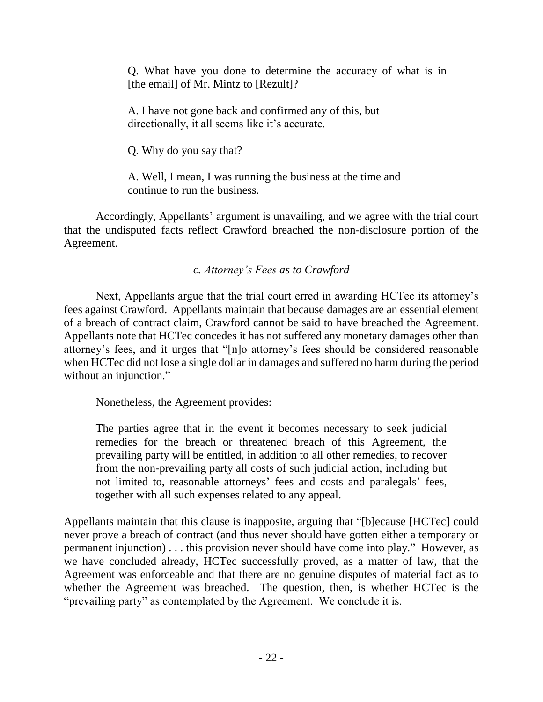Q. What have you done to determine the accuracy of what is in [the email] of Mr. Mintz to [Rezult]?

A. I have not gone back and confirmed any of this, but directionally, it all seems like it's accurate.

Q. Why do you say that?

A. Well, I mean, I was running the business at the time and continue to run the business.

Accordingly, Appellants' argument is unavailing, and we agree with the trial court that the undisputed facts reflect Crawford breached the non-disclosure portion of the Agreement.

## *c. Attorney's Fees as to Crawford*

Next, Appellants argue that the trial court erred in awarding HCTec its attorney's fees against Crawford. Appellants maintain that because damages are an essential element of a breach of contract claim, Crawford cannot be said to have breached the Agreement. Appellants note that HCTec concedes it has not suffered any monetary damages other than attorney's fees, and it urges that "[n]o attorney's fees should be considered reasonable when HCTec did not lose a single dollar in damages and suffered no harm during the period without an injunction."

Nonetheless, the Agreement provides:

The parties agree that in the event it becomes necessary to seek judicial remedies for the breach or threatened breach of this Agreement, the prevailing party will be entitled, in addition to all other remedies, to recover from the non-prevailing party all costs of such judicial action, including but not limited to, reasonable attorneys' fees and costs and paralegals' fees, together with all such expenses related to any appeal.

Appellants maintain that this clause is inapposite, arguing that "[b]ecause [HCTec] could never prove a breach of contract (and thus never should have gotten either a temporary or permanent injunction) . . . this provision never should have come into play." However, as we have concluded already, HCTec successfully proved, as a matter of law, that the Agreement was enforceable and that there are no genuine disputes of material fact as to whether the Agreement was breached. The question, then, is whether HCTec is the "prevailing party" as contemplated by the Agreement. We conclude it is.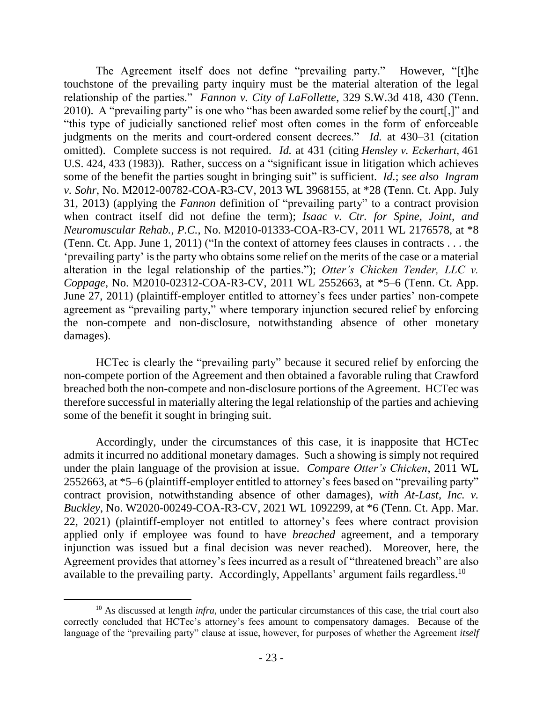The Agreement itself does not define "prevailing party." However, "[t]he touchstone of the prevailing party inquiry must be the material alteration of the legal relationship of the parties." *Fannon v. City of LaFollette*, 329 S.W.3d 418, 430 (Tenn. 2010). A "prevailing party" is one who "has been awarded some relief by the court[,]" and "this type of judicially sanctioned relief most often comes in the form of enforceable judgments on the merits and court-ordered consent decrees." *Id.* at 430–31 (citation omitted). Complete success is not required. *Id.* at 431 (citing *Hensley v. Eckerhart*, 461 U.S. 424, 433 (1983)). Rather, success on a "significant issue in litigation which achieves some of the benefit the parties sought in bringing suit" is sufficient. *Id.*; *see also Ingram v. Sohr*, No. M2012-00782-COA-R3-CV, 2013 WL 3968155, at \*28 (Tenn. Ct. App. July 31, 2013) (applying the *Fannon* definition of "prevailing party" to a contract provision when contract itself did not define the term); *Isaac v. Ctr. for Spine, Joint, and Neuromuscular Rehab., P.C.*, No. M2010-01333-COA-R3-CV, 2011 WL 2176578, at \*8 (Tenn. Ct. App. June 1, 2011) ("In the context of attorney fees clauses in contracts . . . the 'prevailing party' is the party who obtains some relief on the merits of the case or a material alteration in the legal relationship of the parties."); *Otter's Chicken Tender, LLC v. Coppage*, No. M2010-02312-COA-R3-CV, 2011 WL 2552663, at \*5–6 (Tenn. Ct. App. June 27, 2011) (plaintiff-employer entitled to attorney's fees under parties' non-compete agreement as "prevailing party," where temporary injunction secured relief by enforcing the non-compete and non-disclosure, notwithstanding absence of other monetary damages).

HCTec is clearly the "prevailing party" because it secured relief by enforcing the non-compete portion of the Agreement and then obtained a favorable ruling that Crawford breached both the non-compete and non-disclosure portions of the Agreement. HCTec was therefore successful in materially altering the legal relationship of the parties and achieving some of the benefit it sought in bringing suit.

Accordingly, under the circumstances of this case, it is inapposite that HCTec admits it incurred no additional monetary damages. Such a showing is simply not required under the plain language of the provision at issue. *Compare Otter's Chicken*, 2011 WL 2552663, at \*5–6 (plaintiff-employer entitled to attorney's fees based on "prevailing party" contract provision, notwithstanding absence of other damages), *with At-Last, Inc. v. Buckley*, No. W2020-00249-COA-R3-CV, 2021 WL 1092299, at \*6 (Tenn. Ct. App. Mar. 22, 2021) (plaintiff-employer not entitled to attorney's fees where contract provision applied only if employee was found to have *breached* agreement, and a temporary injunction was issued but a final decision was never reached). Moreover, here, the Agreement provides that attorney's fees incurred as a result of "threatened breach" are also available to the prevailing party. Accordingly, Appellants' argument fails regardless.<sup>10</sup>

 $\overline{a}$ 

<sup>&</sup>lt;sup>10</sup> As discussed at length *infra*, under the particular circumstances of this case, the trial court also correctly concluded that HCTec's attorney's fees amount to compensatory damages. Because of the language of the "prevailing party" clause at issue, however, for purposes of whether the Agreement *itself*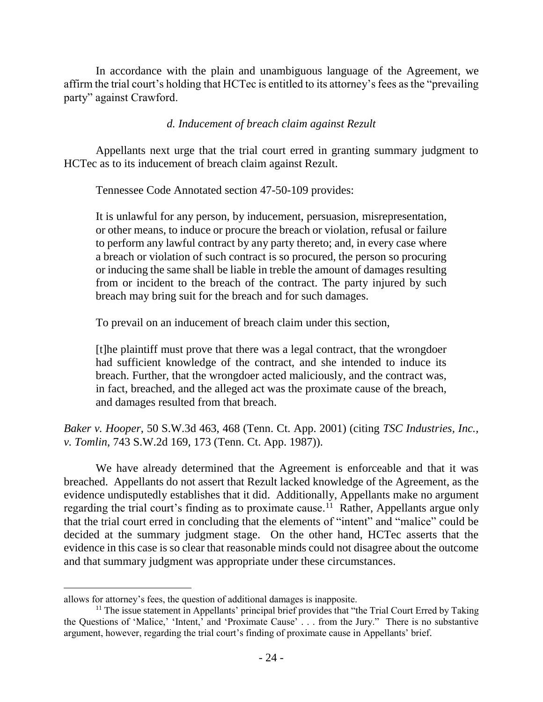In accordance with the plain and unambiguous language of the Agreement, we affirm the trial court's holding that HCTec is entitled to its attorney's fees as the "prevailing party" against Crawford.

## *d. Inducement of breach claim against Rezult*

Appellants next urge that the trial court erred in granting summary judgment to HCTec as to its inducement of breach claim against Rezult.

Tennessee Code Annotated section 47-50-109 provides:

It is unlawful for any person, by inducement, persuasion, misrepresentation, or other means, to induce or procure the breach or violation, refusal or failure to perform any lawful contract by any party thereto; and, in every case where a breach or violation of such contract is so procured, the person so procuring or inducing the same shall be liable in treble the amount of damages resulting from or incident to the breach of the contract. The party injured by such breach may bring suit for the breach and for such damages.

To prevail on an inducement of breach claim under this section,

[t]he plaintiff must prove that there was a legal contract, that the wrongdoer had sufficient knowledge of the contract, and she intended to induce its breach. Further, that the wrongdoer acted maliciously, and the contract was, in fact, breached, and the alleged act was the proximate cause of the breach, and damages resulted from that breach.

*Baker v. Hooper*, 50 S.W.3d 463, 468 (Tenn. Ct. App. 2001) (citing *TSC Industries, Inc., v. Tomlin*, 743 S.W.2d 169, 173 (Tenn. Ct. App. 1987)).

We have already determined that the Agreement is enforceable and that it was breached. Appellants do not assert that Rezult lacked knowledge of the Agreement, as the evidence undisputedly establishes that it did. Additionally, Appellants make no argument regarding the trial court's finding as to proximate cause.<sup>11</sup> Rather, Appellants argue only that the trial court erred in concluding that the elements of "intent" and "malice" could be decided at the summary judgment stage. On the other hand, HCTec asserts that the evidence in this case is so clear that reasonable minds could not disagree about the outcome and that summary judgment was appropriate under these circumstances.

 $\overline{a}$ 

allows for attorney's fees, the question of additional damages is inapposite.

<sup>&</sup>lt;sup>11</sup> The issue statement in Appellants' principal brief provides that "the Trial Court Erred by Taking" the Questions of 'Malice,' 'Intent,' and 'Proximate Cause' . . . from the Jury." There is no substantive argument, however, regarding the trial court's finding of proximate cause in Appellants' brief.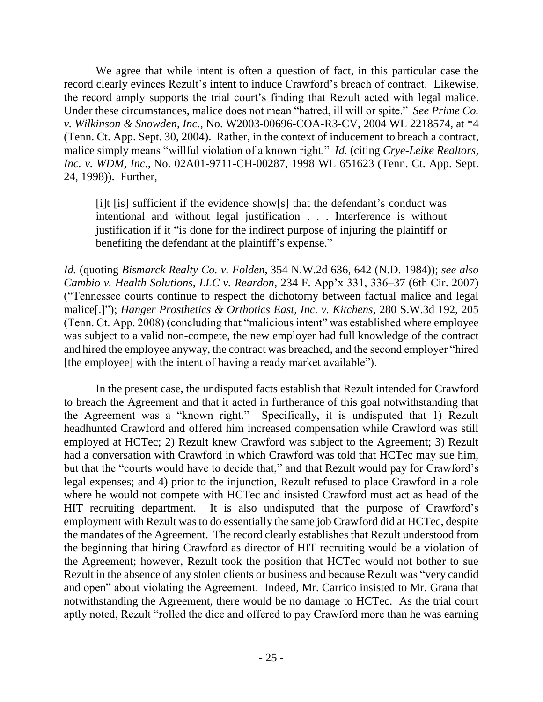We agree that while intent is often a question of fact, in this particular case the record clearly evinces Rezult's intent to induce Crawford's breach of contract. Likewise, the record amply supports the trial court's finding that Rezult acted with legal malice. Under these circumstances, malice does not mean "hatred, ill will or spite." *See Prime Co. v. Wilkinson & Snowden, Inc.*, No. W2003-00696-COA-R3-CV, 2004 WL 2218574, at \*4 (Tenn. Ct. App. Sept. 30, 2004). Rather, in the context of inducement to breach a contract, malice simply means "willful violation of a known right." *Id.* (citing *Crye-Leike Realtors, Inc. v. WDM, Inc.*, No. 02A01-9711-CH-00287, 1998 WL 651623 (Tenn. Ct. App. Sept. 24, 1998)). Further,

[i]t [is] sufficient if the evidence show[s] that the defendant's conduct was intentional and without legal justification . . . Interference is without justification if it "is done for the indirect purpose of injuring the plaintiff or benefiting the defendant at the plaintiff's expense."

*Id.* (quoting *Bismarck Realty Co. v. Folden*, 354 N.W.2d 636, 642 (N.D. 1984)); *see also Cambio v. Health Solutions, LLC v. Reardon*, 234 F. App'x 331, 336–37 (6th Cir. 2007) ("Tennessee courts continue to respect the dichotomy between factual malice and legal malice[.]"); *Hanger Prosthetics & Orthotics East, Inc. v. Kitchens*, 280 S.W.3d 192, 205 (Tenn. Ct. App. 2008) (concluding that "malicious intent" was established where employee was subject to a valid non-compete, the new employer had full knowledge of the contract and hired the employee anyway, the contract was breached, and the second employer "hired [the employee] with the intent of having a ready market available").

In the present case, the undisputed facts establish that Rezult intended for Crawford to breach the Agreement and that it acted in furtherance of this goal notwithstanding that the Agreement was a "known right." Specifically, it is undisputed that 1) Rezult headhunted Crawford and offered him increased compensation while Crawford was still employed at HCTec; 2) Rezult knew Crawford was subject to the Agreement; 3) Rezult had a conversation with Crawford in which Crawford was told that HCTec may sue him, but that the "courts would have to decide that," and that Rezult would pay for Crawford's legal expenses; and 4) prior to the injunction, Rezult refused to place Crawford in a role where he would not compete with HCTec and insisted Crawford must act as head of the HIT recruiting department. It is also undisputed that the purpose of Crawford's employment with Rezult was to do essentially the same job Crawford did at HCTec, despite the mandates of the Agreement. The record clearly establishes that Rezult understood from the beginning that hiring Crawford as director of HIT recruiting would be a violation of the Agreement; however, Rezult took the position that HCTec would not bother to sue Rezult in the absence of any stolen clients or business and because Rezult was "very candid and open" about violating the Agreement. Indeed, Mr. Carrico insisted to Mr. Grana that notwithstanding the Agreement, there would be no damage to HCTec. As the trial court aptly noted, Rezult "rolled the dice and offered to pay Crawford more than he was earning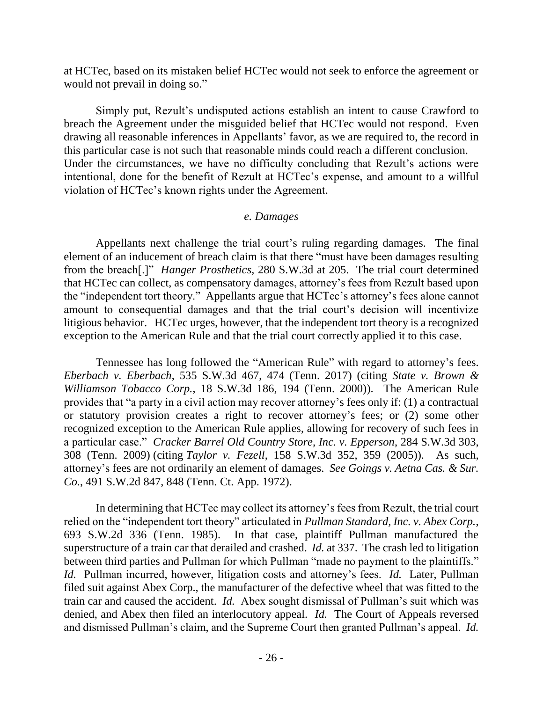at HCTec, based on its mistaken belief HCTec would not seek to enforce the agreement or would not prevail in doing so."

Simply put, Rezult's undisputed actions establish an intent to cause Crawford to breach the Agreement under the misguided belief that HCTec would not respond. Even drawing all reasonable inferences in Appellants' favor, as we are required to, the record in this particular case is not such that reasonable minds could reach a different conclusion. Under the circumstances, we have no difficulty concluding that Rezult's actions were intentional, done for the benefit of Rezult at HCTec's expense, and amount to a willful violation of HCTec's known rights under the Agreement.

### *e. Damages*

Appellants next challenge the trial court's ruling regarding damages. The final element of an inducement of breach claim is that there "must have been damages resulting from the breach[.]" *Hanger Prosthetics*, 280 S.W.3d at 205. The trial court determined that HCTec can collect, as compensatory damages, attorney's fees from Rezult based upon the "independent tort theory." Appellants argue that HCTec's attorney's fees alone cannot amount to consequential damages and that the trial court's decision will incentivize litigious behavior. HCTec urges, however, that the independent tort theory is a recognized exception to the American Rule and that the trial court correctly applied it to this case.

Tennessee has long followed the "American Rule" with regard to attorney's fees. *Eberbach v. Eberbach*, 535 S.W.3d 467, 474 (Tenn. 2017) (citing *State v. Brown & Williamson Tobacco Corp.*, 18 S.W.3d 186, 194 (Tenn. 2000)). The American Rule provides that "a party in a civil action may recover attorney's fees only if: (1) a contractual or statutory provision creates a right to recover attorney's fees; or (2) some other recognized exception to the American Rule applies, allowing for recovery of such fees in a particular case." *Cracker Barrel Old Country Store, Inc. v. Epperson*, 284 S.W.3d 303, 308 (Tenn. 2009) (citing *Taylor v. Fezell*, 158 S.W.3d 352, 359 (2005)). As such, attorney's fees are not ordinarily an element of damages. *See Goings v. Aetna Cas. & Sur. Co.*, 491 S.W.2d 847, 848 (Tenn. Ct. App. 1972).

In determining that HCTec may collect its attorney's fees from Rezult, the trial court relied on the "independent tort theory" articulated in *Pullman Standard, Inc. v. Abex Corp.*, 693 S.W.2d 336 (Tenn. 1985). In that case, plaintiff Pullman manufactured the superstructure of a train car that derailed and crashed. *Id.* at 337. The crash led to litigation between third parties and Pullman for which Pullman "made no payment to the plaintiffs." *Id.* Pullman incurred, however, litigation costs and attorney's fees. *Id.* Later, Pullman filed suit against Abex Corp., the manufacturer of the defective wheel that was fitted to the train car and caused the accident. *Id.* Abex sought dismissal of Pullman's suit which was denied, and Abex then filed an interlocutory appeal. *Id.* The Court of Appeals reversed and dismissed Pullman's claim, and the Supreme Court then granted Pullman's appeal. *Id.*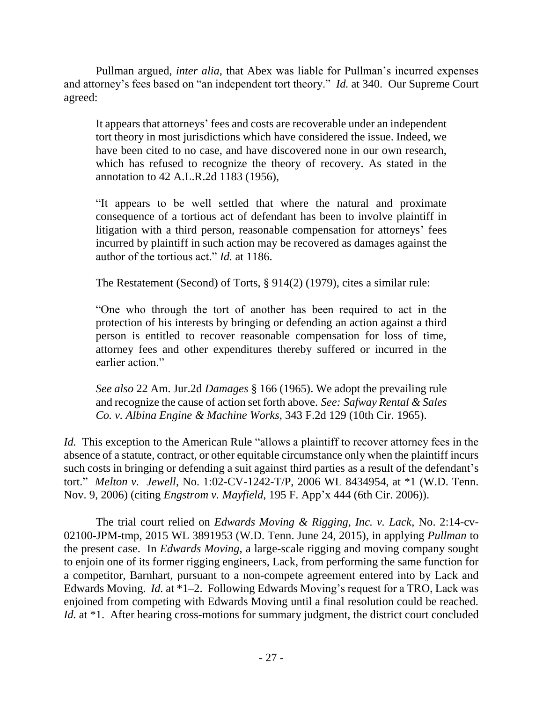Pullman argued, *inter alia*, that Abex was liable for Pullman's incurred expenses and attorney's fees based on "an independent tort theory." *Id.* at 340. Our Supreme Court agreed:

It appears that attorneys' fees and costs are recoverable under an independent tort theory in most jurisdictions which have considered the issue. Indeed, we have been cited to no case, and have discovered none in our own research, which has refused to recognize the theory of recovery. As stated in the annotation to 42 A.L.R.2d 1183 (1956),

"It appears to be well settled that where the natural and proximate consequence of a tortious act of defendant has been to involve plaintiff in litigation with a third person, reasonable compensation for attorneys' fees incurred by plaintiff in such action may be recovered as damages against the author of the tortious act." *Id.* at 1186.

The Restatement (Second) of Torts, § 914(2) (1979), cites a similar rule:

"One who through the tort of another has been required to act in the protection of his interests by bringing or defending an action against a third person is entitled to recover reasonable compensation for loss of time, attorney fees and other expenditures thereby suffered or incurred in the earlier action."

*See also* 22 Am. Jur.2d *Damages* § 166 (1965). We adopt the prevailing rule and recognize the cause of action set forth above. *See: Safway Rental & Sales Co. v. Albina Engine & Machine Works*, 343 F.2d 129 (10th Cir. 1965).

*Id.* This exception to the American Rule "allows a plaintiff to recover attorney fees in the absence of a statute, contract, or other equitable circumstance only when the plaintiff incurs such costs in bringing or defending a suit against third parties as a result of the defendant's tort." *Melton v. Jewell*, No. 1:02-CV-1242-T/P, 2006 WL 8434954, at \*1 (W.D. Tenn. Nov. 9, 2006) (citing *Engstrom v. Mayfield*, 195 F. App'x 444 (6th Cir. 2006)).

The trial court relied on *Edwards Moving & Rigging, Inc. v. Lack*, No. 2:14-cv-02100-JPM-tmp, 2015 WL 3891953 (W.D. Tenn. June 24, 2015), in applying *Pullman* to the present case. In *Edwards Moving*, a large-scale rigging and moving company sought to enjoin one of its former rigging engineers, Lack, from performing the same function for a competitor, Barnhart, pursuant to a non-compete agreement entered into by Lack and Edwards Moving. *Id.* at \*1–2. Following Edwards Moving's request for a TRO, Lack was enjoined from competing with Edwards Moving until a final resolution could be reached. *Id.* at \*1. After hearing cross-motions for summary judgment, the district court concluded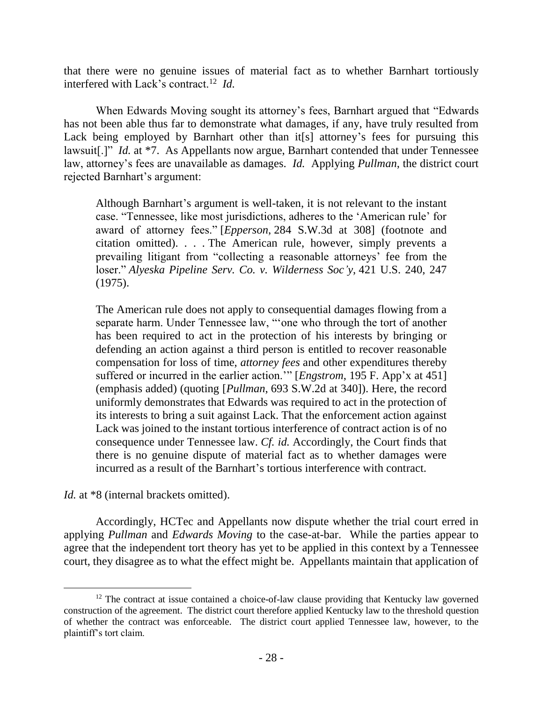that there were no genuine issues of material fact as to whether Barnhart tortiously interfered with Lack's contract.<sup>12</sup> *Id.*

When Edwards Moving sought its attorney's fees, Barnhart argued that "Edwards has not been able thus far to demonstrate what damages, if any, have truly resulted from Lack being employed by Barnhart other than it[s] attorney's fees for pursuing this lawsuit<sup>[1]"</sup> *Id.* at \*7. As Appellants now argue, Barnhart contended that under Tennessee law, attorney's fees are unavailable as damages. *Id.* Applying *Pullman*, the district court rejected Barnhart's argument:

Although Barnhart's argument is well-taken, it is not relevant to the instant case. "Tennessee, like most jurisdictions, adheres to the 'American rule' for award of attorney fees." [*Epperson*, 284 S.W.3d at 308] (footnote and citation omitted). . . *.* The American rule, however, simply prevents a prevailing litigant from "collecting a reasonable attorneys' fee from the loser." *Alyeska Pipeline Serv. Co. v. Wilderness Soc'y*, 421 U.S. 240, 247 (1975).

The American rule does not apply to consequential damages flowing from a separate harm. Under Tennessee law, "'one who through the tort of another has been required to act in the protection of his interests by bringing or defending an action against a third person is entitled to recover reasonable compensation for loss of time, *attorney fees* and other expenditures thereby suffered or incurred in the earlier action.'" [*Engstrom*, 195 F. App'x at 451] (emphasis added) (quoting [*Pullman*, 693 S.W.2d at 340]). Here, the record uniformly demonstrates that Edwards was required to act in the protection of its interests to bring a suit against Lack. That the enforcement action against Lack was joined to the instant tortious interference of contract action is of no consequence under Tennessee law. *Cf. id.* Accordingly, the Court finds that there is no genuine dispute of material fact as to whether damages were incurred as a result of the Barnhart's tortious interference with contract.

*Id.* at \*8 (internal brackets omitted).

 $\overline{a}$ 

Accordingly, HCTec and Appellants now dispute whether the trial court erred in applying *Pullman* and *Edwards Moving* to the case-at-bar. While the parties appear to agree that the independent tort theory has yet to be applied in this context by a Tennessee court, they disagree as to what the effect might be. Appellants maintain that application of

<sup>&</sup>lt;sup>12</sup> The contract at issue contained a choice-of-law clause providing that Kentucky law governed construction of the agreement. The district court therefore applied Kentucky law to the threshold question of whether the contract was enforceable. The district court applied Tennessee law, however, to the plaintiff's tort claim.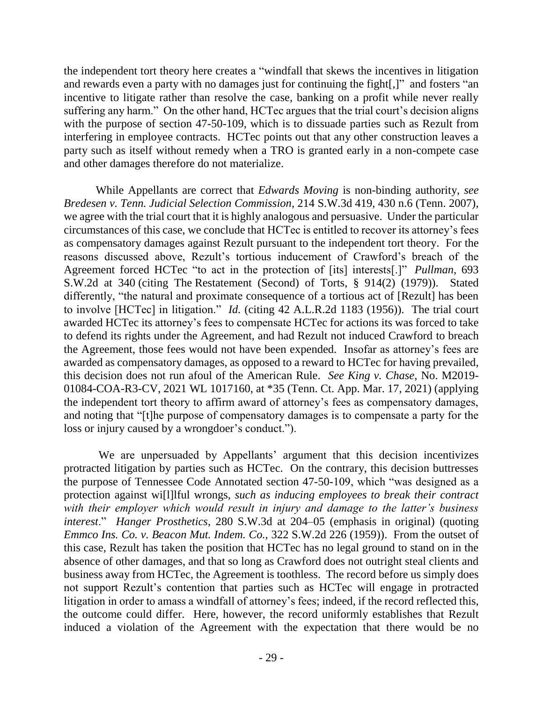the independent tort theory here creates a "windfall that skews the incentives in litigation and rewards even a party with no damages just for continuing the fight[,]" and fosters "an incentive to litigate rather than resolve the case, banking on a profit while never really suffering any harm." On the other hand, HCTec argues that the trial court's decision aligns with the purpose of section 47-50-109, which is to dissuade parties such as Rezult from interfering in employee contracts. HCTec points out that any other construction leaves a party such as itself without remedy when a TRO is granted early in a non-compete case and other damages therefore do not materialize.

While Appellants are correct that *Edwards Moving* is non-binding authority, *see Bredesen v. Tenn. Judicial Selection Commission*, 214 S.W.3d 419, 430 n.6 (Tenn. 2007), we agree with the trial court that it is highly analogous and persuasive. Under the particular circumstances of this case, we conclude that HCTec is entitled to recover its attorney's fees as compensatory damages against Rezult pursuant to the independent tort theory. For the reasons discussed above, Rezult's tortious inducement of Crawford's breach of the Agreement forced HCTec "to act in the protection of [its] interests[.]" *Pullman*, 693 S.W.2d at 340 (citing The Restatement (Second) of Torts, § 914(2) (1979)). Stated differently, "the natural and proximate consequence of a tortious act of [Rezult] has been to involve [HCTec] in litigation." *Id.* (citing 42 A.L.R.2d 1183 (1956)). The trial court awarded HCTec its attorney's fees to compensate HCTec for actions its was forced to take to defend its rights under the Agreement, and had Rezult not induced Crawford to breach the Agreement, those fees would not have been expended. Insofar as attorney's fees are awarded as compensatory damages, as opposed to a reward to HCTec for having prevailed, this decision does not run afoul of the American Rule. *See King v. Chase*, No. M2019- 01084-COA-R3-CV, 2021 WL 1017160, at \*35 (Tenn. Ct. App. Mar. 17, 2021) (applying the independent tort theory to affirm award of attorney's fees as compensatory damages, and noting that "[t]he purpose of compensatory damages is to compensate a party for the loss or injury caused by a wrongdoer's conduct.").

We are unpersuaded by Appellants' argument that this decision incentivizes protracted litigation by parties such as HCTec. On the contrary, this decision buttresses the purpose of Tennessee Code Annotated section 47-50-109, which "was designed as a protection against wi[l]lful wrongs, *such as inducing employees to break their contract with their employer which would result in injury and damage to the latter's business interest*." *Hanger Prosthetics*, 280 S.W.3d at 204–05 (emphasis in original) (quoting *Emmco Ins. Co. v. Beacon Mut. Indem. Co.*, 322 S.W.2d 226 (1959)). From the outset of this case, Rezult has taken the position that HCTec has no legal ground to stand on in the absence of other damages, and that so long as Crawford does not outright steal clients and business away from HCTec, the Agreement is toothless. The record before us simply does not support Rezult's contention that parties such as HCTec will engage in protracted litigation in order to amass a windfall of attorney's fees; indeed, if the record reflected this, the outcome could differ. Here, however, the record uniformly establishes that Rezult induced a violation of the Agreement with the expectation that there would be no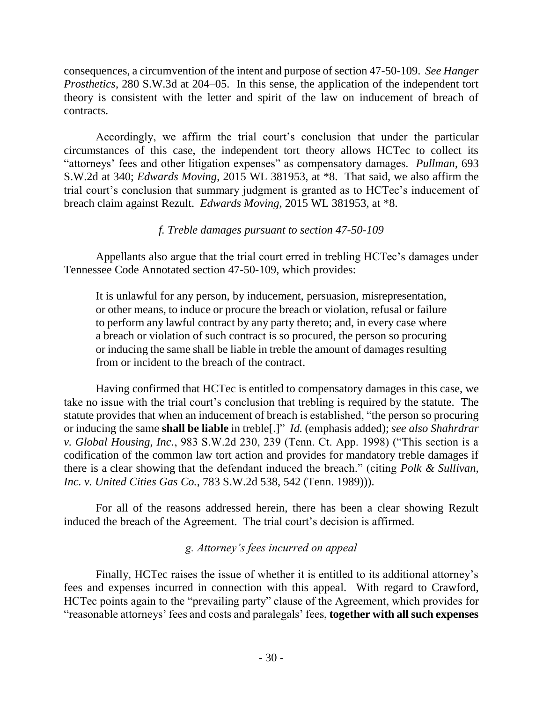consequences, a circumvention of the intent and purpose of section 47-50-109. *See Hanger Prosthetics*, 280 S.W.3d at 204–05. In this sense, the application of the independent tort theory is consistent with the letter and spirit of the law on inducement of breach of contracts.

Accordingly, we affirm the trial court's conclusion that under the particular circumstances of this case, the independent tort theory allows HCTec to collect its "attorneys' fees and other litigation expenses" as compensatory damages. *Pullman*, 693 S.W.2d at 340; *Edwards Moving*, 2015 WL 381953, at \*8. That said, we also affirm the trial court's conclusion that summary judgment is granted as to HCTec's inducement of breach claim against Rezult. *Edwards Moving*, 2015 WL 381953, at \*8.

# *f. Treble damages pursuant to section 47-50-109*

Appellants also argue that the trial court erred in trebling HCTec's damages under Tennessee Code Annotated section 47-50-109, which provides:

It is unlawful for any person, by inducement, persuasion, misrepresentation, or other means, to induce or procure the breach or violation, refusal or failure to perform any lawful contract by any party thereto; and, in every case where a breach or violation of such contract is so procured, the person so procuring or inducing the same shall be liable in treble the amount of damages resulting from or incident to the breach of the contract.

Having confirmed that HCTec is entitled to compensatory damages in this case, we take no issue with the trial court's conclusion that trebling is required by the statute. The statute provides that when an inducement of breach is established, "the person so procuring or inducing the same **shall be liable** in treble[.]" *Id.* (emphasis added); *see also Shahrdrar v. Global Housing, Inc.*, 983 S.W.2d 230, 239 (Tenn. Ct. App. 1998) ("This section is a codification of the common law tort action and provides for mandatory treble damages if there is a clear showing that the defendant induced the breach." (citing *Polk & Sullivan, Inc. v. United Cities Gas Co.*, 783 S.W.2d 538, 542 (Tenn. 1989))).

For all of the reasons addressed herein, there has been a clear showing Rezult induced the breach of the Agreement. The trial court's decision is affirmed.

# *g. Attorney's fees incurred on appeal*

Finally, HCTec raises the issue of whether it is entitled to its additional attorney's fees and expenses incurred in connection with this appeal. With regard to Crawford, HCTec points again to the "prevailing party" clause of the Agreement, which provides for "reasonable attorneys' fees and costs and paralegals' fees, **together with all such expenses**